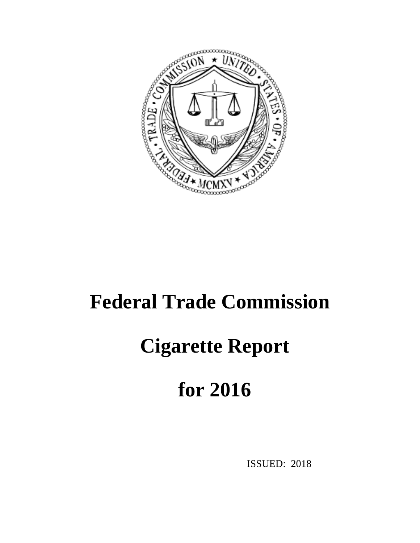

# **Federal Trade Commission**

# **Cigarette Report**

# **for 2016**

ISSUED: 2018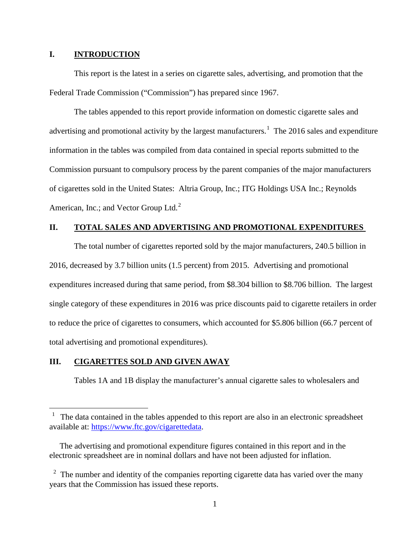### **I. INTRODUCTION**

This report is the latest in a series on cigarette sales, advertising, and promotion that the Federal Trade Commission ("Commission") has prepared since 1967.

The tables appended to this report provide information on domestic cigarette sales and advertising and promotional activity by the largest manufacturers.<sup>[1](#page-1-0)</sup> The 2016 sales and expenditure information in the tables was compiled from data contained in special reports submitted to the Commission pursuant to compulsory process by the parent companies of the major manufacturers of cigarettes sold in the United States: Altria Group, Inc.; ITG Holdings USA Inc.; Reynolds American, Inc.; and Vector Group Ltd.<sup>[2](#page-1-1)</sup>

# **II. TOTAL SALES AND ADVERTISING AND PROMOTIONAL EXPENDITURES**

The total number of cigarettes reported sold by the major manufacturers, 240.5 billion in 2016, decreased by 3.7 billion units (1.5 percent) from 2015. Advertising and promotional expenditures increased during that same period, from \$8.304 billion to \$8.706 billion. The largest single category of these expenditures in 2016 was price discounts paid to cigarette retailers in order to reduce the price of cigarettes to consumers, which accounted for \$5.806 billion (66.7 percent of total advertising and promotional expenditures).

## **III. CIGARETTES SOLD AND GIVEN AWAY**

 $\overline{a}$ 

Tables 1A and 1B display the manufacturer's annual cigarette sales to wholesalers and

<span id="page-1-0"></span> $1$  The data contained in the tables appended to this report are also in an electronic spreadsheet available at: [https://www.ftc.gov/cigarettedata.](https://www.ftc.gov/cigarettedata)

The advertising and promotional expenditure figures contained in this report and in the electronic spreadsheet are in nominal dollars and have not been adjusted for inflation.

<span id="page-1-1"></span> $2\degree$  The number and identity of the companies reporting cigarette data has varied over the many years that the Commission has issued these reports.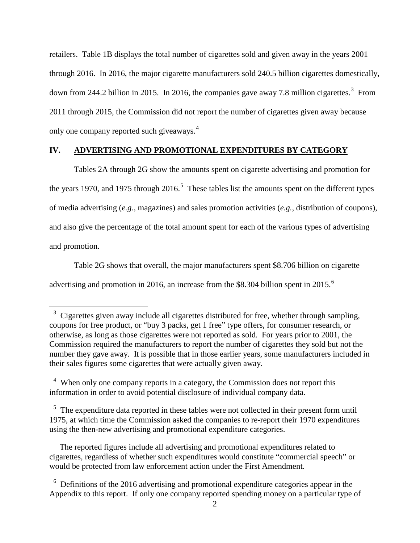retailers. Table 1B displays the total number of cigarettes sold and given away in the years 2001 through 2016. In 2016, the major cigarette manufacturers sold 240.5 billion cigarettes domestically, down from 244.2 billion in 2015. In 2016, the companies gave away 7.8 million cigarettes.<sup>[3](#page-2-0)</sup> From 2011 through 2015, the Commission did not report the number of cigarettes given away because only one company reported such giveaways.<sup>[4](#page-2-1)</sup>

## **IV. ADVERTISING AND PROMOTIONAL EXPENDITURES BY CATEGORY**

Tables 2A through 2G show the amounts spent on cigarette advertising and promotion for the years 1970, and 197[5](#page-2-2) through  $2016$ <sup>5</sup>. These tables list the amounts spent on the different types of media advertising (*e.g.*, magazines) and sales promotion activities (*e.g.*, distribution of coupons), and also give the percentage of the total amount spent for each of the various types of advertising and promotion.

Table 2G shows that overall, the major manufacturers spent \$8.706 billion on cigarette advertising and promotion in 201[6](#page-2-3), an increase from the \$8.304 billion spent in 2015.<sup>6</sup>

 $\overline{a}$ 

<span id="page-2-2"></span><sup>5</sup> The expenditure data reported in these tables were not collected in their present form until 1975, at which time the Commission asked the companies to re-report their 1970 expenditures using the then-new advertising and promotional expenditure categories.

 The reported figures include all advertising and promotional expenditures related to cigarettes, regardless of whether such expenditures would constitute "commercial speech" or would be protected from law enforcement action under the First Amendment.

<span id="page-2-0"></span><sup>&</sup>lt;sup>3</sup> Cigarettes given away include all cigarettes distributed for free, whether through sampling, coupons for free product, or "buy 3 packs, get 1 free" type offers, for consumer research, or otherwise, as long as those cigarettes were not reported as sold. For years prior to 2001, the Commission required the manufacturers to report the number of cigarettes they sold but not the number they gave away. It is possible that in those earlier years, some manufacturers included in their sales figures some cigarettes that were actually given away.

<span id="page-2-1"></span><sup>&</sup>lt;sup>4</sup> When only one company reports in a category, the Commission does not report this information in order to avoid potential disclosure of individual company data.

<span id="page-2-3"></span><sup>&</sup>lt;sup>6</sup> Definitions of the 2016 advertising and promotional expenditure categories appear in the Appendix to this report. If only one company reported spending money on a particular type of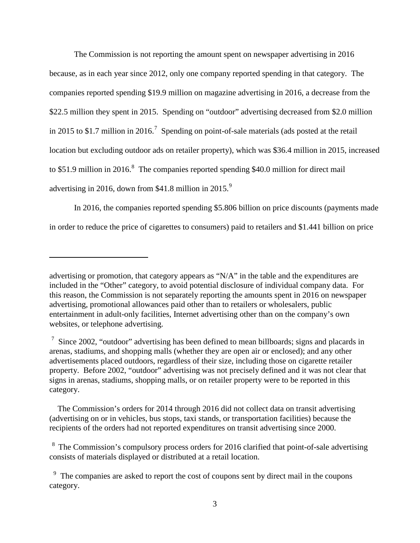The Commission is not reporting the amount spent on newspaper advertising in 2016 because, as in each year since 2012, only one company reported spending in that category. The companies reported spending \$19.9 million on magazine advertising in 2016, a decrease from the \$22.5 million they spent in 2015. Spending on "outdoor" advertising decreased from \$2.0 million in 2015 to \$1.[7](#page-3-0) million in 2016.<sup>7</sup> Spending on point-of-sale materials (ads posted at the retail location but excluding outdoor ads on retailer property), which was \$36.4 million in 2015, increased to \$51.9 million in 2016.<sup>[8](#page-3-1)</sup> The companies reported spending \$40.0 million for direct mail advertising in 2016, down from \$41.8 million in  $2015.<sup>9</sup>$  $2015.<sup>9</sup>$  $2015.<sup>9</sup>$ 

In 2016, the companies reported spending \$5.806 billion on price discounts (payments made in order to reduce the price of cigarettes to consumers) paid to retailers and \$1.441 billion on price

 $\overline{a}$ 

 The Commission's orders for 2014 through 2016 did not collect data on transit advertising (advertising on or in vehicles, bus stops, taxi stands, or transportation facilities) because the recipients of the orders had not reported expenditures on transit advertising since 2000.

<span id="page-3-1"></span> $8\text{ The Commission's complexity process orders for 2016 clarified that point-of-sale advertising}$ consists of materials displayed or distributed at a retail location.

advertising or promotion, that category appears as "N/A" in the table and the expenditures are included in the "Other" category, to avoid potential disclosure of individual company data. For this reason, the Commission is not separately reporting the amounts spent in 2016 on newspaper advertising, promotional allowances paid other than to retailers or wholesalers, public entertainment in adult-only facilities, Internet advertising other than on the company's own websites, or telephone advertising.

<span id="page-3-0"></span> $\frac{7}{1}$  Since 2002, "outdoor" advertising has been defined to mean billboards; signs and placards in arenas, stadiums, and shopping malls (whether they are open air or enclosed); and any other advertisements placed outdoors, regardless of their size, including those on cigarette retailer property. Before 2002, "outdoor" advertising was not precisely defined and it was not clear that signs in arenas, stadiums, shopping malls, or on retailer property were to be reported in this category.

<span id="page-3-2"></span><sup>&</sup>lt;sup>9</sup> The companies are asked to report the cost of coupons sent by direct mail in the coupons category.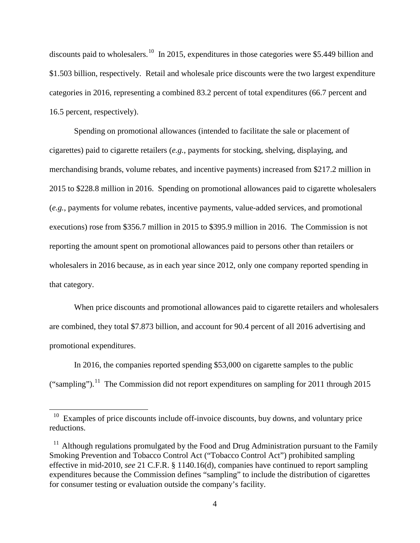discounts paid to wholesalers.<sup>10</sup> In 2015, expenditures in those categories were \$5.449 billion and \$1.503 billion, respectively. Retail and wholesale price discounts were the two largest expenditure categories in 2016, representing a combined 83.2 percent of total expenditures (66.7 percent and 16.5 percent, respectively).

Spending on promotional allowances (intended to facilitate the sale or placement of cigarettes) paid to cigarette retailers (*e.g.*, payments for stocking, shelving, displaying, and merchandising brands, volume rebates, and incentive payments) increased from \$217.2 million in 2015 to \$228.8 million in 2016. Spending on promotional allowances paid to cigarette wholesalers (*e.g.*, payments for volume rebates, incentive payments, value-added services, and promotional executions) rose from \$356.7 million in 2015 to \$395.9 million in 2016. The Commission is not reporting the amount spent on promotional allowances paid to persons other than retailers or wholesalers in 2016 because, as in each year since 2012, only one company reported spending in that category.

When price discounts and promotional allowances paid to cigarette retailers and wholesalers are combined, they total \$7.873 billion, and account for 90.4 percent of all 2016 advertising and promotional expenditures.

In 2016, the companies reported spending \$53,000 on cigarette samples to the public ("sampling").<sup>[11](#page-4-1)</sup> The Commission did not report expenditures on sampling for 2011 through 2015

<span id="page-4-0"></span><sup>&</sup>lt;sup>10</sup> Examples of price discounts include off-invoice discounts, buy downs, and voluntary price reductions.

<span id="page-4-1"></span> $11$  Although regulations promulgated by the Food and Drug Administration pursuant to the Family Smoking Prevention and Tobacco Control Act ("Tobacco Control Act") prohibited sampling effective in mid-2010, *see* 21 C.F.R. § 1140.16(d), companies have continued to report sampling expenditures because the Commission defines "sampling" to include the distribution of cigarettes for consumer testing or evaluation outside the company's facility.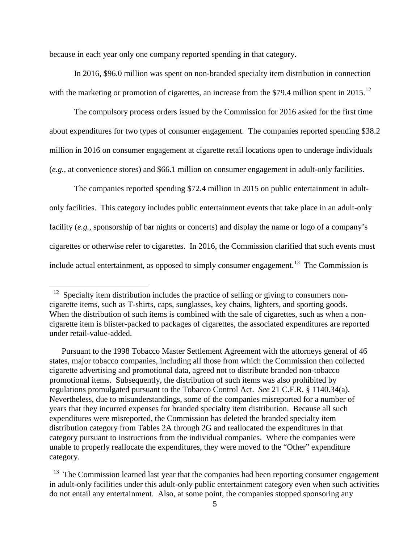because in each year only one company reported spending in that category.

In 2016, \$96.0 million was spent on non-branded specialty item distribution in connection with the marketing or promotion of cigarettes, an increase from the \$79.4 million spent in 2015.<sup>[12](#page-5-0)</sup>

The compulsory process orders issued by the Commission for 2016 asked for the first time about expenditures for two types of consumer engagement. The companies reported spending \$38.2 million in 2016 on consumer engagement at cigarette retail locations open to underage individuals (*e.g.*, at convenience stores) and \$66.1 million on consumer engagement in adult-only facilities.

The companies reported spending \$72.4 million in 2015 on public entertainment in adultonly facilities. This category includes public entertainment events that take place in an adult-only facility (*e.g.*, sponsorship of bar nights or concerts) and display the name or logo of a company's cigarettes or otherwise refer to cigarettes. In 2016, the Commission clarified that such events must include actual entertainment, as opposed to simply consumer engagement.<sup>[13](#page-5-1)</sup> The Commission is

<span id="page-5-0"></span> $12$  Specialty item distribution includes the practice of selling or giving to consumers noncigarette items, such as T-shirts, caps, sunglasses, key chains, lighters, and sporting goods. When the distribution of such items is combined with the sale of cigarettes, such as when a noncigarette item is blister-packed to packages of cigarettes, the associated expenditures are reported under retail-value-added.

Pursuant to the 1998 Tobacco Master Settlement Agreement with the attorneys general of 46 states, major tobacco companies, including all those from which the Commission then collected cigarette advertising and promotional data, agreed not to distribute branded non-tobacco promotional items. Subsequently, the distribution of such items was also prohibited by regulations promulgated pursuant to the Tobacco Control Act. *See* 21 C.F.R. § 1140.34(a). Nevertheless, due to misunderstandings, some of the companies misreported for a number of years that they incurred expenses for branded specialty item distribution. Because all such expenditures were misreported, the Commission has deleted the branded specialty item distribution category from Tables 2A through 2G and reallocated the expenditures in that category pursuant to instructions from the individual companies. Where the companies were unable to properly reallocate the expenditures, they were moved to the "Other" expenditure category.

<span id="page-5-1"></span> $13$  The Commission learned last year that the companies had been reporting consumer engagement in adult-only facilities under this adult-only public entertainment category even when such activities do not entail any entertainment. Also, at some point, the companies stopped sponsoring any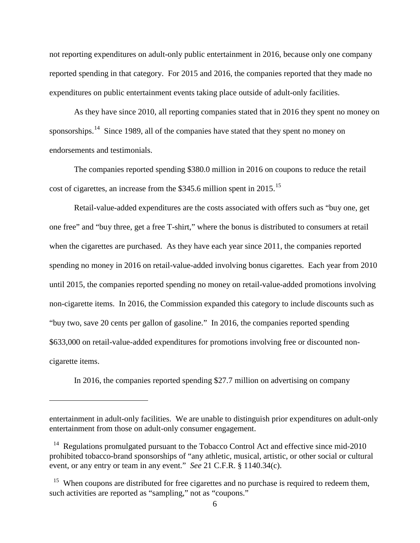not reporting expenditures on adult-only public entertainment in 2016, because only one company reported spending in that category. For 2015 and 2016, the companies reported that they made no expenditures on public entertainment events taking place outside of adult-only facilities.

As they have since 2010, all reporting companies stated that in 2016 they spent no money on sponsorships.<sup>14</sup> Since 1989, all of the companies have stated that they spent no money on endorsements and testimonials.

The companies reported spending \$380.0 million in 2016 on coupons to reduce the retail cost of cigarettes, an increase from the \$345.6 million spent in 20[15](#page-6-1).<sup>15</sup>

Retail-value-added expenditures are the costs associated with offers such as "buy one, get one free" and "buy three, get a free T-shirt," where the bonus is distributed to consumers at retail when the cigarettes are purchased. As they have each year since 2011, the companies reported spending no money in 2016 on retail-value-added involving bonus cigarettes. Each year from 2010 until 2015, the companies reported spending no money on retail-value-added promotions involving non-cigarette items. In 2016, the Commission expanded this category to include discounts such as "buy two, save 20 cents per gallon of gasoline." In 2016, the companies reported spending \$633,000 on retail-value-added expenditures for promotions involving free or discounted noncigarette items.

In 2016, the companies reported spending \$27.7 million on advertising on company

entertainment in adult-only facilities. We are unable to distinguish prior expenditures on adult-only entertainment from those on adult-only consumer engagement.

<span id="page-6-0"></span><sup>&</sup>lt;sup>14</sup> Regulations promulgated pursuant to the Tobacco Control Act and effective since mid-2010 prohibited tobacco-brand sponsorships of "any athletic, musical, artistic, or other social or cultural event, or any entry or team in any event." *See* 21 C.F.R. § 1140.34(c).

<span id="page-6-1"></span><sup>&</sup>lt;sup>15</sup> When coupons are distributed for free cigarettes and no purchase is required to redeem them, such activities are reported as "sampling," not as "coupons."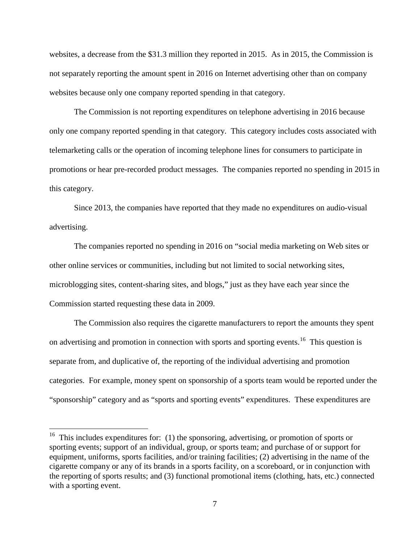websites, a decrease from the \$31.3 million they reported in 2015. As in 2015, the Commission is not separately reporting the amount spent in 2016 on Internet advertising other than on company websites because only one company reported spending in that category.

The Commission is not reporting expenditures on telephone advertising in 2016 because only one company reported spending in that category. This category includes costs associated with telemarketing calls or the operation of incoming telephone lines for consumers to participate in promotions or hear pre-recorded product messages. The companies reported no spending in 2015 in this category.

Since 2013, the companies have reported that they made no expenditures on audio-visual advertising.

The companies reported no spending in 2016 on "social media marketing on Web sites or other online services or communities, including but not limited to social networking sites, microblogging sites, content-sharing sites, and blogs," just as they have each year since the Commission started requesting these data in 2009.

The Commission also requires the cigarette manufacturers to report the amounts they spent on advertising and promotion in connection with sports and sporting events.<sup>16</sup> This question is separate from, and duplicative of, the reporting of the individual advertising and promotion categories. For example, money spent on sponsorship of a sports team would be reported under the "sponsorship" category and as "sports and sporting events" expenditures. These expenditures are

<span id="page-7-0"></span><sup>&</sup>lt;sup>16</sup> This includes expenditures for: (1) the sponsoring, advertising, or promotion of sports or sporting events; support of an individual, group, or sports team; and purchase of or support for equipment, uniforms, sports facilities, and/or training facilities; (2) advertising in the name of the cigarette company or any of its brands in a sports facility, on a scoreboard, or in conjunction with the reporting of sports results; and (3) functional promotional items (clothing, hats, etc.) connected with a sporting event.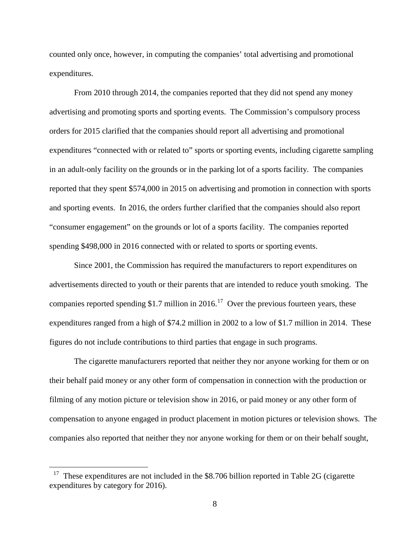counted only once, however, in computing the companies' total advertising and promotional expenditures.

From 2010 through 2014, the companies reported that they did not spend any money advertising and promoting sports and sporting events. The Commission's compulsory process orders for 2015 clarified that the companies should report all advertising and promotional expenditures "connected with or related to" sports or sporting events, including cigarette sampling in an adult-only facility on the grounds or in the parking lot of a sports facility. The companies reported that they spent \$574,000 in 2015 on advertising and promotion in connection with sports and sporting events. In 2016, the orders further clarified that the companies should also report "consumer engagement" on the grounds or lot of a sports facility. The companies reported spending \$498,000 in 2016 connected with or related to sports or sporting events.

Since 2001, the Commission has required the manufacturers to report expenditures on advertisements directed to youth or their parents that are intended to reduce youth smoking. The companies reported spending \$1.7 million in 2016.<sup>[17](#page-8-0)</sup> Over the previous fourteen years, these expenditures ranged from a high of \$74.2 million in 2002 to a low of \$1.7 million in 2014. These figures do not include contributions to third parties that engage in such programs.

The cigarette manufacturers reported that neither they nor anyone working for them or on their behalf paid money or any other form of compensation in connection with the production or filming of any motion picture or television show in 2016, or paid money or any other form of compensation to anyone engaged in product placement in motion pictures or television shows. The companies also reported that neither they nor anyone working for them or on their behalf sought,

<span id="page-8-0"></span> $17$  These expenditures are not included in the \$8.706 billion reported in Table 2G (cigarette expenditures by category for 2016).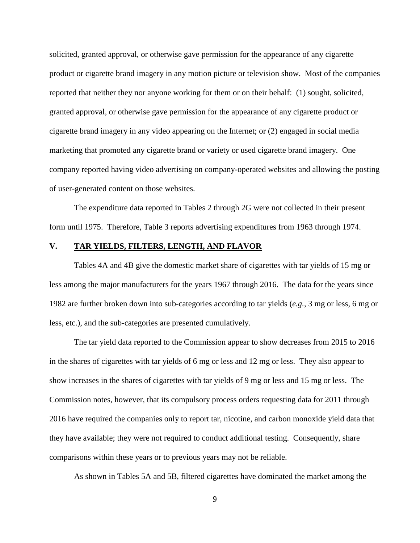solicited, granted approval, or otherwise gave permission for the appearance of any cigarette product or cigarette brand imagery in any motion picture or television show. Most of the companies reported that neither they nor anyone working for them or on their behalf: (1) sought, solicited, granted approval, or otherwise gave permission for the appearance of any cigarette product or cigarette brand imagery in any video appearing on the Internet; or (2) engaged in social media marketing that promoted any cigarette brand or variety or used cigarette brand imagery. One company reported having video advertising on company-operated websites and allowing the posting of user-generated content on those websites.

The expenditure data reported in Tables 2 through 2G were not collected in their present form until 1975. Therefore, Table 3 reports advertising expenditures from 1963 through 1974.

# **V. TAR YIELDS, FILTERS, LENGTH, AND FLAVOR**

Tables 4A and 4B give the domestic market share of cigarettes with tar yields of 15 mg or less among the major manufacturers for the years 1967 through 2016. The data for the years since 1982 are further broken down into sub-categories according to tar yields (*e.g.*, 3 mg or less, 6 mg or less, etc.), and the sub-categories are presented cumulatively.

The tar yield data reported to the Commission appear to show decreases from 2015 to 2016 in the shares of cigarettes with tar yields of 6 mg or less and 12 mg or less. They also appear to show increases in the shares of cigarettes with tar yields of 9 mg or less and 15 mg or less. The Commission notes, however, that its compulsory process orders requesting data for 2011 through 2016 have required the companies only to report tar, nicotine, and carbon monoxide yield data that they have available; they were not required to conduct additional testing. Consequently, share comparisons within these years or to previous years may not be reliable.

As shown in Tables 5A and 5B, filtered cigarettes have dominated the market among the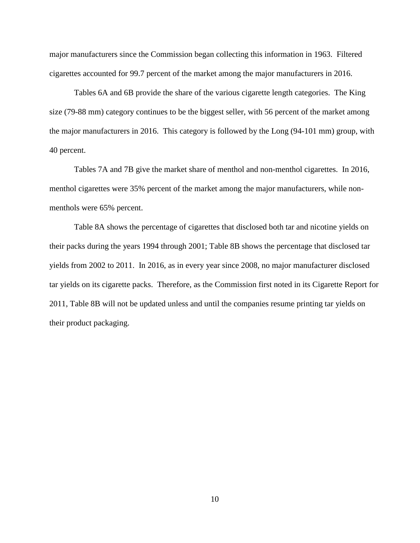major manufacturers since the Commission began collecting this information in 1963. Filtered cigarettes accounted for 99.7 percent of the market among the major manufacturers in 2016.

Tables 6A and 6B provide the share of the various cigarette length categories. The King size (79-88 mm) category continues to be the biggest seller, with 56 percent of the market among the major manufacturers in 2016. This category is followed by the Long (94-101 mm) group, with 40 percent.

Tables 7A and 7B give the market share of menthol and non-menthol cigarettes. In 2016, menthol cigarettes were 35% percent of the market among the major manufacturers, while nonmenthols were 65% percent.

Table 8A shows the percentage of cigarettes that disclosed both tar and nicotine yields on their packs during the years 1994 through 2001; Table 8B shows the percentage that disclosed tar yields from 2002 to 2011. In 2016, as in every year since 2008, no major manufacturer disclosed tar yields on its cigarette packs. Therefore, as the Commission first noted in its Cigarette Report for 2011, Table 8B will not be updated unless and until the companies resume printing tar yields on their product packaging.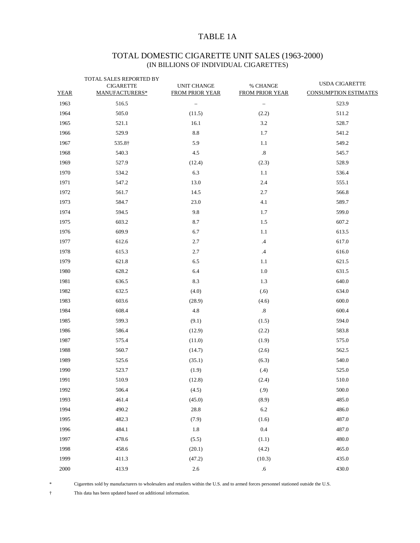# TABLE 1A

# TOTAL DOMESTIC CIGARETTE UNIT SALES (1963-2000) (IN BILLIONS OF INDIVIDUAL CIGARETTES)

| <b>YEAR</b> | TOTAL SALES REPORTED BY<br><b>CIGARETTE</b><br>MANUFACTURERS* | UNIT CHANGE<br><b>FROM PRIOR YEAR</b> | % CHANGE<br><b>FROM PRIOR YEAR</b> | <b>USDA CIGARETTE</b><br><b>CONSUMPTION ESTIMATES</b> |
|-------------|---------------------------------------------------------------|---------------------------------------|------------------------------------|-------------------------------------------------------|
| 1963        | 516.5                                                         | $\overline{\phantom{a}}$              | $\overline{\phantom{a}}$           | 523.9                                                 |
| 1964        | 505.0                                                         | (11.5)                                | (2.2)                              | 511.2                                                 |
| 1965        | 521.1                                                         | 16.1                                  | 3.2                                | 528.7                                                 |
| 1966        | 529.9                                                         | $\ \ 8.8$                             | 1.7                                | 541.2                                                 |
| 1967        | 535.8†                                                        | 5.9                                   | 1.1                                | 549.2                                                 |
| 1968        | 540.3                                                         | 4.5                                   | $.8\,$                             | 545.7                                                 |
| 1969        | 527.9                                                         | (12.4)                                | (2.3)                              | 528.9                                                 |
| 1970        | 534.2                                                         | 6.3                                   | 1.1                                | 536.4                                                 |
| 1971        | 547.2                                                         | 13.0                                  | 2.4                                | 555.1                                                 |
| 1972        | 561.7                                                         | 14.5                                  | 2.7                                | 566.8                                                 |
| 1973        | 584.7                                                         | 23.0                                  | 4.1                                | 589.7                                                 |
| 1974        | 594.5                                                         | 9.8                                   | 1.7                                | 599.0                                                 |
| 1975        | 603.2                                                         | 8.7                                   | 1.5                                | 607.2                                                 |
| 1976        | 609.9                                                         | 6.7                                   | 1.1                                | 613.5                                                 |
| 1977        | 612.6                                                         | 2.7                                   | $\cdot$ 4                          | 617.0                                                 |
| 1978        | 615.3                                                         | 2.7                                   | $.4\phantom{0}$                    | 616.0                                                 |
| 1979        | 621.8                                                         | 6.5                                   | 1.1                                | 621.5                                                 |
| 1980        | 628.2                                                         | 6.4                                   | 1.0                                | 631.5                                                 |
| 1981        | 636.5                                                         | 8.3                                   | 1.3                                | 640.0                                                 |
| 1982        | 632.5                                                         | (4.0)                                 | (.6)                               | 634.0                                                 |
| 1983        | 603.6                                                         | (28.9)                                | (4.6)                              | 600.0                                                 |
| 1984        | 608.4                                                         | 4.8                                   | $.8\,$                             | 600.4                                                 |
| 1985        | 599.3                                                         | (9.1)                                 | (1.5)                              | 594.0                                                 |
| 1986        | 586.4                                                         | (12.9)                                | (2.2)                              | 583.8                                                 |
| 1987        | 575.4                                                         | (11.0)                                | (1.9)                              | 575.0                                                 |
| 1988        | 560.7                                                         | (14.7)                                | (2.6)                              | 562.5                                                 |
| 1989        | 525.6                                                         | (35.1)                                | (6.3)                              | 540.0                                                 |
| 1990        | 523.7                                                         | (1.9)                                 | (.4)                               | 525.0                                                 |
| 1991        | 510.9                                                         | (12.8)                                | (2.4)                              | 510.0                                                 |
| 1992        | 506.4                                                         | (4.5)                                 | (.9)                               | 500.0                                                 |
| 1993        | 461.4                                                         | (45.0)                                | (8.9)                              | 485.0                                                 |
| 1994        | 490.2                                                         | 28.8                                  | $6.2\,$                            | 486.0                                                 |
| 1995        | 482.3                                                         | (7.9)                                 | (1.6)                              | 487.0                                                 |
| 1996        | 484.1                                                         | 1.8                                   | $0.4\,$                            | 487.0                                                 |
| 1997        | 478.6                                                         | (5.5)                                 | (1.1)                              | 480.0                                                 |
| 1998        | 458.6                                                         | (20.1)                                | (4.2)                              | 465.0                                                 |
| 1999        | 411.3                                                         | (47.2)                                | (10.3)                             | 435.0                                                 |
| 2000        | 413.9                                                         | $2.6\,$                               | $.6\,$                             | 430.0                                                 |

\* Cigarettes sold by manufacturers to wholesalers and retailers within the U.S. and to armed forces personnel stationed outside the U.S.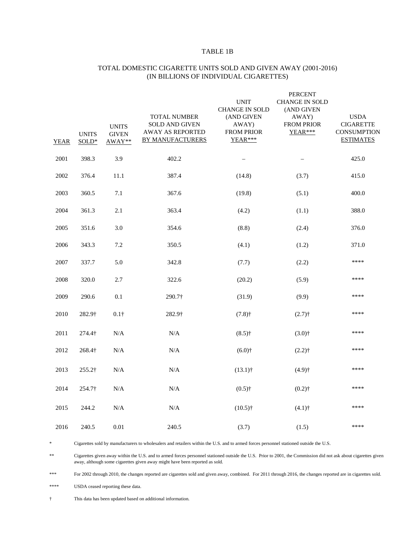#### TABLE 1B

| <b>YEAR</b> | <b>UNITS</b><br>SOLD* | <b>UNITS</b><br><b>GIVEN</b><br>AWAY** | TOTAL NUMBER<br>SOLD AND GIVEN<br><b>AWAY AS REPORTED</b><br><b>BY MANUFACTURERS</b> | <b>UNIT</b><br><b>CHANGE IN SOLD</b><br>(AND GIVEN<br>AWAY)<br><b>FROM PRIOR</b><br>YEAR*** | <b>FENCENT</b><br><b>CHANGE IN SOLD</b><br>(AND GIVEN<br>AWAY)<br>FROM PRIOR<br>YEAR*** | <b>USDA</b><br><b>CIGARETTE</b><br><b>CONSUMPTION</b><br><b>ESTIMATES</b> |
|-------------|-----------------------|----------------------------------------|--------------------------------------------------------------------------------------|---------------------------------------------------------------------------------------------|-----------------------------------------------------------------------------------------|---------------------------------------------------------------------------|
| 2001        | 398.3                 | 3.9                                    | 402.2                                                                                |                                                                                             |                                                                                         | 425.0                                                                     |
| 2002        | 376.4                 | 11.1                                   | 387.4                                                                                | (14.8)                                                                                      | (3.7)                                                                                   | 415.0                                                                     |
| 2003        | 360.5                 | 7.1                                    | 367.6                                                                                | (19.8)                                                                                      | (5.1)                                                                                   | 400.0                                                                     |
| 2004        | 361.3                 | 2.1                                    | 363.4                                                                                | (4.2)                                                                                       | (1.1)                                                                                   | 388.0                                                                     |
| 2005        | 351.6                 | 3.0                                    | 354.6                                                                                | (8.8)                                                                                       | (2.4)                                                                                   | 376.0                                                                     |
| 2006        | 343.3                 | 7.2                                    | 350.5                                                                                | (4.1)                                                                                       | (1.2)                                                                                   | 371.0                                                                     |
| 2007        | 337.7                 | 5.0                                    | 342.8                                                                                | (7.7)                                                                                       | (2.2)                                                                                   | ****                                                                      |
| 2008        | 320.0                 | 2.7                                    | 322.6                                                                                | (20.2)                                                                                      | (5.9)                                                                                   | ****                                                                      |
| 2009        | 290.6                 | 0.1                                    | 290.7†                                                                               | (31.9)                                                                                      | (9.9)                                                                                   | ****                                                                      |
| 2010        | 282.9†                | $0.1\dagger$                           | 282.9†                                                                               | $(7.8)$ †                                                                                   | $(2.7)$ †                                                                               | ****                                                                      |
| 2011        | 274.4†                | N/A                                    | N/A                                                                                  | $(8.5)$ †                                                                                   | $(3.0)$ <sup>+</sup>                                                                    | ****                                                                      |
| 2012        | 268.4†                | $\rm N/A$                              | $\rm N/A$                                                                            | $(6.0)$ †                                                                                   | $(2.2)$ †                                                                               | ****                                                                      |
| 2013        | 255.2†                | N/A                                    | $\rm N/A$                                                                            | $(13.1)$ †                                                                                  | $(4.9)$ †                                                                               | ****                                                                      |
| 2014        | 254.7†                | $\rm N/A$                              | $\rm N/A$                                                                            | $(0.5)$ †                                                                                   | $(0.2)$ †                                                                               | ****                                                                      |
| 2015        | 244.2                 | N/A                                    | $\rm N/A$                                                                            | $(10.5)$ †                                                                                  | $(4.1)$ †                                                                               | ****                                                                      |
| 2016        | 240.5                 | 0.01                                   | 240.5                                                                                | (3.7)                                                                                       | (1.5)                                                                                   | ****                                                                      |

#### TOTAL DOMESTIC CIGARETTE UNITS SOLD AND GIVEN AWAY (2001-2016) (IN BILLIONS OF INDIVIDUAL CIGARETTES)

**PERCENT** 

\* Cigarettes sold by manufacturers to wholesalers and retailers within the U.S. and to armed forces personnel stationed outside the U.S.

\*\* Cigarettes given away within the U.S. and to armed forces personnel stationed outside the U.S. Prior to 2001, the Commission did not ask about cigarettes given away, although some cigarettes given away might have been reported as sold.

\*\*\* For 2002 through 2010, the changes reported are cigarettes sold and given away, combined. For 2011 through 2016, the changes reported are in cigarettes sold.

\*\*\*\* USDA ceased reporting these data.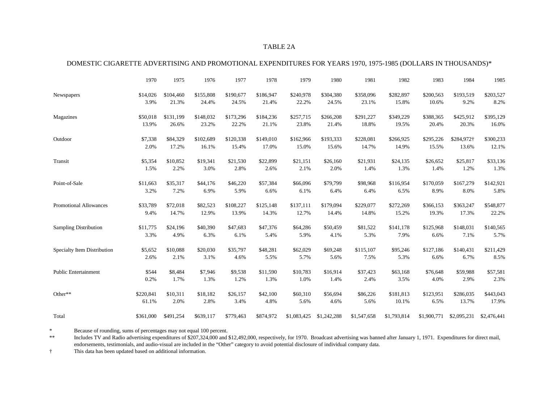#### TABLE 2A

#### DOMESTIC CIGARETTE ADVERTISING AND PROMOTIONAL EXPENDITURES FOR YEARS 1970, 1975-1985 (DOLLARS IN THOUSANDS)\*

|                               | 1970      | 1975      | 1976      | 1977      | 1978      | 1979        | 1980        | 1981        | 1982        | 1983        | 1984        | 1985        |
|-------------------------------|-----------|-----------|-----------|-----------|-----------|-------------|-------------|-------------|-------------|-------------|-------------|-------------|
| Newspapers                    | \$14,026  | \$104,460 | \$155,808 | \$190,677 | \$186,947 | \$240,978   | \$304,380   | \$358,096   | \$282,897   | \$200,563   | \$193,519   | \$203,527   |
|                               | 3.9%      | 21.3%     | 24.4%     | 24.5%     | 21.4%     | 22.2%       | 24.5%       | 23.1%       | 15.8%       | 10.6%       | 9.2%        | 8.2%        |
| Magazines                     | \$50,018  | \$131,199 | \$148,032 | \$173,296 | \$184,236 | \$257,715   | \$266,208   | \$291,227   | \$349,229   | \$388,365   | \$425,912   | \$395,129   |
|                               | 13.9%     | 26.6%     | 23.2%     | 22.2%     | 21.1%     | 23.8%       | 21.4%       | 18.8%       | 19.5%       | 20.4%       | 20.3%       | 16.0%       |
| Outdoor                       | \$7,338   | \$84,329  | \$102,689 | \$120,338 | \$149,010 | \$162,966   | \$193,333   | \$228,081   | \$266,925   | \$295,226   | \$284,972†  | \$300,233   |
|                               | 2.0%      | 17.2%     | 16.1%     | 15.4%     | 17.0%     | 15.0%       | 15.6%       | 14.7%       | 14.9%       | 15.5%       | 13.6%       | 12.1%       |
| Transit                       | \$5,354   | \$10,852  | \$19,341  | \$21,530  | \$22,899  | \$21,151    | \$26,160    | \$21,931    | \$24,135    | \$26,652    | \$25,817    | \$33,136    |
|                               | 1.5%      | 2.2%      | 3.0%      | 2.8%      | 2.6%      | 2.1%        | 2.0%        | 1.4%        | 1.3%        | 1.4%        | 1.2%        | 1.3%        |
| Point-of-Sale                 | \$11,663  | \$35,317  | \$44,176  | \$46,220  | \$57,384  | \$66,096    | \$79,799    | \$98,968    | \$116,954   | \$170,059   | \$167,279   | \$142,921   |
|                               | 3.2%      | 7.2%      | 6.9%      | 5.9%      | 6.6%      | 6.1%        | 6.4%        | 6.4%        | 6.5%        | 8.9%        | 8.0%        | 5.8%        |
| <b>Promotional Allowances</b> | \$33,789  | \$72,018  | \$82,523  | \$108,227 | \$125,148 | \$137,111   | \$179,094   | \$229,077   | \$272,269   | \$366,153   | \$363,247   | \$548,877   |
|                               | 9.4%      | 14.7%     | 12.9%     | 13.9%     | 14.3%     | 12.7%       | 14.4%       | 14.8%       | 15.2%       | 19.3%       | 17.3%       | 22.2%       |
| <b>Sampling Distribution</b>  | \$11,775  | \$24,196  | \$40,390  | \$47,683  | \$47,376  | \$64,286    | \$50,459    | \$81,522    | \$141,178   | \$125,968   | \$148,031   | \$140,565   |
|                               | 3.3%      | 4.9%      | 6.3%      | 6.1%      | 5.4%      | 5.9%        | 4.1%        | 5.3%        | 7.9%        | 6.6%        | 7.1%        | 5.7%        |
| Specialty Item Distribution   | \$5,652   | \$10,088  | \$20,030  | \$35,797  | \$48,281  | \$62,029    | \$69,248    | \$115,107   | \$95,246    | \$127,186   | \$140,431   | \$211,429   |
|                               | 2.6%      | 2.1%      | 3.1%      | 4.6%      | 5.5%      | 5.7%        | 5.6%        | 7.5%        | 5.3%        | 6.6%        | 6.7%        | 8.5%        |
| <b>Public Entertainment</b>   | \$544     | \$8,484   | \$7,946   | \$9,538   | \$11,590  | \$10,783    | \$16,914    | \$37,423    | \$63,168    | \$76,648    | \$59,988    | \$57,581    |
|                               | 0.2%      | 1.7%      | 1.3%      | 1.2%      | 1.3%      | 1.0%        | 1.4%        | 2.4%        | 3.5%        | 4.0%        | 2.9%        | 2.3%        |
| Other**                       | \$220,841 | \$10,311  | \$18,182  | \$26,157  | \$42,100  | \$60,310    | \$56,694    | \$86,226    | \$181,813   | \$123,951   | \$286,035   | \$443,043   |
|                               | 61.1%     | 2.0%      | 2.8%      | 3.4%      | 4.8%      | 5.6%        | 4.6%        | 5.6%        | 10.1%       | 6.5%        | 13.7%       | 17.9%       |
| Total                         | \$361,000 | \$491,254 | \$639,117 | \$779,463 | \$874,972 | \$1,083,425 | \$1,242,288 | \$1,547,658 | \$1,793,814 | \$1,900,771 | \$2,095,231 | \$2,476,441 |

\* Because of rounding, sums of percentages may not equal 100 percent.<br>\*\* Includes TV and Radio advertising expenditures of \$207 324,000 and

Includes TV and Radio advertising expenditures of \$207,324,000 and \$12,492,000, respectively, for 1970. Broadcast advertising was banned after January 1, 1971. Expenditures for direct mail, endorsements, testimonials, and audio-visual are included in the "Other" category to avoid potential disclosure of individual company data.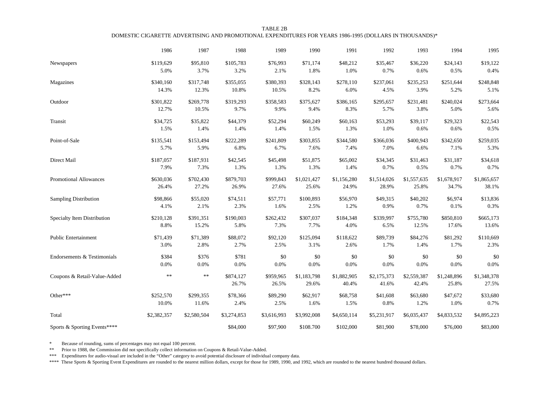| TABLE 2B                                                                                                |
|---------------------------------------------------------------------------------------------------------|
| DOMESTIC CIGARETTE ADVERTISING AND PROMOTIONAL EXPENDITURES FOR YEARS 1986-1995 (DOLLARS IN THOUSANDS)* |

|                              | 1986        | 1987        | 1988               | 1989               | 1990                 | 1991                 | 1992                 | 1993                 | 1994                 | 1995                 |
|------------------------------|-------------|-------------|--------------------|--------------------|----------------------|----------------------|----------------------|----------------------|----------------------|----------------------|
| Newspapers                   | \$119,629   | \$95,810    | \$105,783          | \$76,993           | \$71,174             | \$48,212             | \$35,467             | \$36,220             | \$24,143             | \$19,122             |
|                              | 5.0%        | 3.7%        | 3.2%               | 2.1%               | 1.8%                 | 1.0%                 | 0.7%                 | 0.6%                 | 0.5%                 | 0.4%                 |
| Magazines                    | \$340,160   | \$317,748   | \$355,055          | \$380,393          | \$328,143            | \$278,110            | \$237,061            | \$235,253            | \$251,644            | \$248,848            |
|                              | 14.3%       | 12.3%       | 10.8%              | 10.5%              | 8.2%                 | 6.0%                 | 4.5%                 | 3.9%                 | 5.2%                 | 5.1%                 |
| Outdoor                      | \$301,822   | \$269,778   | \$319,293          | \$358,583          | \$375,627            | \$386,165            | \$295,657            | \$231,481            | \$240,024            | \$273,664            |
|                              | 12.7%       | 10.5%       | 9.7%               | 9.9%               | 9.4%                 | 8.3%                 | 5.7%                 | 3.8%                 | 5.0%                 | 5.6%                 |
| Transit                      | \$34,725    | \$35,822    | \$44,379           | \$52,294           | \$60,249             | \$60,163             | \$53,293             | \$39,117             | \$29,323             | \$22,543             |
|                              | 1.5%        | 1.4%        | 1.4%               | 1.4%               | 1.5%                 | 1.3%                 | 1.0%                 | 0.6%                 | 0.6%                 | $0.5\%$              |
| Point-of-Sale                | \$135,541   | \$153,494   | \$222,289          | \$241,809          | \$303,855            | \$344,580            | \$366,036            | \$400,943            | \$342,650            | \$259,035            |
|                              | 5.7%        | 5.9%        | 6.8%               | 6.7%               | 7.6%                 | 7.4%                 | 7.0%                 | 6.6%                 | 7.1%                 | 5.3%                 |
| Direct Mail                  | \$187,057   | \$187,931   | \$42,545           | \$45,498           | \$51,875             | \$65,002             | \$34,345             | \$31,463             | \$31,187             | \$34,618             |
|                              | 7.9%        | 7.3%        | 1.3%               | 1.3%               | 1.3%                 | 1.4%                 | 0.7%                 | 0.5%                 | 0.7%                 | 0.7%                 |
| Promotional Allowances       | \$630,036   | \$702,430   | \$879,703          | \$999,843          | \$1,021,427          | \$1,156,280          | \$1,514,026          | \$1,557,635          | \$1,678,917          | \$1,865,657          |
|                              | 26.4%       | 27.2%       | 26.9%              | 27.6%              | 25.6%                | 24.9%                | 28.9%                | 25.8%                | 34.7%                | 38.1%                |
| Sampling Distribution        | \$98,866    | \$55,020    | \$74,511           | \$57,771           | \$100,893            | \$56,970             | \$49,315             | \$40,202             | \$6,974              | \$13,836             |
|                              | 4.1%        | 2.1%        | 2.3%               | 1.6%               | 2.5%                 | 1.2%                 | 0.9%                 | 0.7%                 | 0.1%                 | 0.3%                 |
| Specialty Item Distribution  | \$210,128   | \$391,351   | \$190,003          | \$262,432          | \$307,037            | \$184,348            | \$339,997            | \$755,780            | \$850,810            | \$665,173            |
|                              | 8.8%        | 15.2%       | 5.8%               | 7.3%               | 7.7%                 | 4.0%                 | 6.5%                 | 12.5%                | 17.6%                | 13.6%                |
| <b>Public Entertainment</b>  | \$71,439    | \$71,389    | \$88,072           | \$92,120           | \$125,094            | \$118,622            | \$89,739             | \$84,276             | \$81,292             | \$110,669            |
|                              | 3.0%        | 2.8%        | 2.7%               | 2.5%               | 3.1%                 | 2.6%                 | 1.7%                 | 1.4%                 | 1.7%                 | 2.3%                 |
| Endorsements & Testimonials  | \$384       | \$376       | \$781              | \$0                | \$0                  | \$0                  | \$0                  | \$0                  | \$0                  | \$0                  |
|                              | 0.0%        | $0.0\%$     | 0.0%               | $0.0\%$            | 0.0%                 | 0.0%                 | 0.0%                 | $0.0\%$              | $0.0\%$              | 0.0%                 |
| Coupons & Retail-Value-Added | **          | $\ast$      | \$874,127<br>26.7% | \$959,965<br>26.5% | \$1,183,798<br>29.6% | \$1,882,905<br>40.4% | \$2,175,373<br>41.6% | \$2,559,387<br>42.4% | \$1,248,896<br>25.8% | \$1,348,378<br>27.5% |
| Other***                     | \$252,570   | \$299,355   | \$78,366           | \$89,290           | \$62,917             | \$68,758             | \$41,608             | \$63,680             | \$47,672             | \$33,680             |
|                              | 10.0%       | 11.6%       | 2.4%               | 2.5%               | 1.6%                 | 1.5%                 | 0.8%                 | 1.2%                 | 1.0%                 | 0.7%                 |
| Total                        | \$2,382,357 | \$2,580,504 | \$3,274,853        | \$3,616,993        | \$3,992,008          | \$4,650,114          | \$5,231,917          | \$6,035,437          | \$4,833,532          | \$4,895,223          |
| Sports & Sporting Events**** |             |             | \$84,000           | \$97,900           | \$108.700            | \$102,000            | \$81,900             | \$78,000             | \$76,000             | \$83,000             |

\* Because of rounding, sums of percentages may not equal 100 percent.

\*\* Prior to 1988, the Commission did not specifically collect information on Coupons & Retail-Value-Added.

\*\*\* Expenditures for audio-visual are included in the "Other" category to avoid potential disclosure of individual company data.

\*\*\*\* These Sports & Sporting Event Expenditures are rounded to the nearest million dollars, except for those for 1989, 1990, and 1992, which are rounded to the nearest hundred thousand dollars.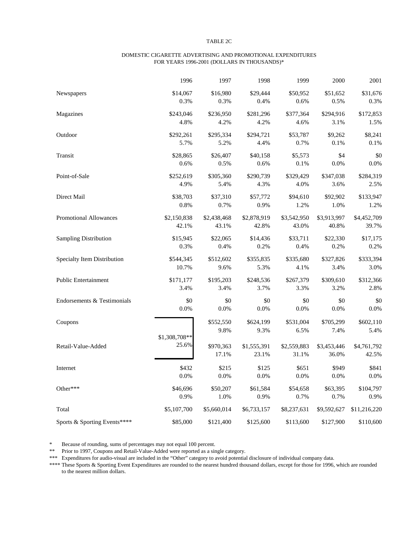#### TABLE 2C

#### DOMESTIC CIGARETTE ADVERTISING AND PROMOTIONAL EXPENDITURES FOR YEARS 1996-2001 (DOLLARS IN THOUSANDS)\*

|                               | 1996          | 1997              | 1998              | 1999              | 2000              | 2001              |
|-------------------------------|---------------|-------------------|-------------------|-------------------|-------------------|-------------------|
| Newspapers                    | \$14,067      | \$16,980          | \$29,444          | \$50,952          | \$51,652          | \$31,676          |
|                               | 0.3%          | 0.3%              | 0.4%              | 0.6%              | 0.5%              | 0.3%              |
| Magazines                     | \$243,046     | \$236,950         | \$281,296         | \$377,364         | \$294,916         | \$172,853         |
|                               | 4.8%          | 4.2%              | 4.2%              | 4.6%              | 3.1%              | 1.5%              |
| Outdoor                       | \$292,261     | \$295,334         | \$294,721         | \$53,787          | \$9,262           | \$8,241           |
|                               | 5.7%          | 5.2%              | 4.4%              | 0.7%              | 0.1%              | 0.1%              |
| Transit                       | \$28,865      | \$26,407          | \$40,158          | \$5,573           | \$4               | \$0               |
|                               | 0.6%          | 0.5%              | 0.6%              | 0.1%              | 0.0%              | 0.0%              |
| Point-of-Sale                 | \$252,619     | \$305,360         | \$290,739         | \$329,429         | \$347,038         | \$284,319         |
|                               | 4.9%          | 5.4%              | 4.3%              | 4.0%              | 3.6%              | 2.5%              |
| Direct Mail                   | \$38,703      | \$37,310          | \$57,772          | \$94,610          | \$92,902          | \$133,947         |
|                               | 0.8%          | 0.7%              | 0.9%              | 1.2%              | 1.0%              | 1.2%              |
| <b>Promotional Allowances</b> | \$2,150,838   | \$2,438,468       | \$2,878,919       | \$3,542,950       | \$3,913,997       | \$4,452,709       |
|                               | 42.1%         | 43.1%             | 42.8%             | 43.0%             | 40.8%             | 39.7%             |
| <b>Sampling Distribution</b>  | \$15,945      | \$22,065          | \$14,436          | \$33,711          | \$22,330          | \$17,175          |
|                               | 0.3%          | 0.4%              | 0.2%              | 0.4%              | 0.2%              | 0.2%              |
| Specialty Item Distribution   | \$544,345     | \$512,602         | \$355,835         | \$335,680         | \$327,826         | \$333,394         |
|                               | 10.7%         | 9.6%              | 5.3%              | 4.1%              | 3.4%              | 3.0%              |
| <b>Public Entertainment</b>   | \$171,177     | \$195,203         | \$248,536         | \$267,379         | \$309,610         | \$312,366         |
|                               | 3.4%          | 3.4%              | 3.7%              | 3.3%              | 3.2%              | 2.8%              |
| Endorsements & Testimonials   | \$0           | \$0               | \$0               | \$0               | \$0               | \$0               |
|                               | 0.0%          | 0.0%              | 0.0%              | 0.0%              | 0.0%              | 0.0%              |
| Coupons                       |               | \$552,550<br>9.8% | \$624,199<br>9.3% | \$531,004<br>6.5% | \$705,299<br>7.4% | \$602,110<br>5.4% |
| Retail-Value-Added            | \$1,308,708** | \$970,363         | \$1,555,391       | \$2,559,883       | \$3,453,446       | \$4,761,792       |
|                               | 25.6%         | 17.1%             | 23.1%             | 31.1%             | 36.0%             | 42.5%             |
| Internet                      | \$432         | \$215             | \$125             | \$651             | \$949             | \$841             |
|                               | 0.0%          | 0.0%              | 0.0%              | 0.0%              | 0.0%              | 0.0%              |
| Other***                      | \$46,696      | \$50,207          | \$61,584          | \$54,658          | \$63,395          | \$104,797         |
|                               | 0.9%          | 1.0%              | 0.9%              | 0.7%              | 0.7%              | 0.9%              |
| Total                         | \$5,107,700   | \$5,660,014       | \$6,733,157       | \$8,237,631       | \$9,592,627       | \$11,216,220      |
| Sports & Sporting Events****  | \$85,000      | \$121,400         | \$125,600         | \$113,600         | \$127,900         | \$110,600         |

\* Because of rounding, sums of percentages may not equal 100 percent.

\*\* Prior to 1997, Coupons and Retail-Value-Added were reported as a single category.

\*\*\* Expenditures for audio-visual are included in the "Other" category to avoid potential disclosure of individual company data.

\*\*\*\* These Sports & Sporting Event Expenditures are rounded to the nearest hundred thousand dollars, except for those for 1996, which are rounded to the nearest million dollars.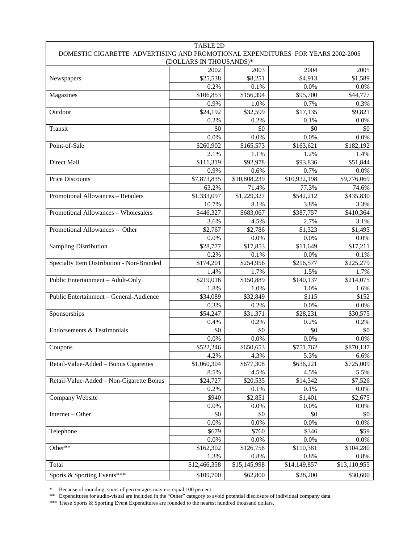| <b>TABLE 2D</b>                                                                 |              |              |              |              |  |  |  |  |  |
|---------------------------------------------------------------------------------|--------------|--------------|--------------|--------------|--|--|--|--|--|
| DOMESTIC CIGARETTE ADVERTISING AND PROMOTIONAL EXPENDITURES FOR YEARS 2002-2005 |              |              |              |              |  |  |  |  |  |
| (DOLLARS IN THOUSANDS)*                                                         |              |              |              |              |  |  |  |  |  |
|                                                                                 | 2002         | 2003         | 2004         | 2005         |  |  |  |  |  |
| Newspapers                                                                      | \$25,538     | \$8,251      | \$4,913      | \$1,589      |  |  |  |  |  |
|                                                                                 | 0.2%         | 0.1%         | 0.0%         | 0.0%         |  |  |  |  |  |
| Magazines                                                                       | \$106,853    | \$156,394    | \$95,700     | \$44,777     |  |  |  |  |  |
|                                                                                 | 0.9%         | 1.0%         | 0.7%         | 0.3%         |  |  |  |  |  |
| Outdoor                                                                         | \$24,192     | \$32,599     | \$17,135     | \$9,821      |  |  |  |  |  |
|                                                                                 | 0.2%         | 0.2%         | 0.1%         | 0.0%         |  |  |  |  |  |
| Transit                                                                         | \$0          | \$0          | \$0          | \$0          |  |  |  |  |  |
|                                                                                 | 0.0%         | 0.0%         | 0.0%         | 0.0%         |  |  |  |  |  |
| Point-of-Sale                                                                   | \$260,902    | \$165,573    | \$163,621    | \$182,192    |  |  |  |  |  |
|                                                                                 | 2.1%         | 1.1%         | 1.2%         | 1.4%         |  |  |  |  |  |
| Direct Mail                                                                     | \$111,319    | \$92,978     | \$93,836     | \$51,844     |  |  |  |  |  |
|                                                                                 | 0.9%         | 0.6%         | 0.7%         | 0.0%         |  |  |  |  |  |
| Price Discounts                                                                 | \$7,873,835  | \$10,808,239 | \$10,932,198 | \$9,776,069  |  |  |  |  |  |
|                                                                                 | 63.2%        | 71.4%        | 77.3%        | 74.6%        |  |  |  |  |  |
| Promotional Allowances - Retailers                                              | \$1,333,097  | \$1,229,327  | \$542,212    | \$435,830    |  |  |  |  |  |
|                                                                                 | 10.7%        | 8.1%         | 3.8%         | 3.3%         |  |  |  |  |  |
| Promotional Allowances - Wholesalers                                            | \$446,327    | \$683,067    | \$387,757    | \$410,364    |  |  |  |  |  |
|                                                                                 | 3.6%         | 4.5%         | 2.7%         | 3.1%         |  |  |  |  |  |
| Promotional Allowances - Other                                                  | \$2,767      | \$2,786      | \$1,323      | \$1,493      |  |  |  |  |  |
|                                                                                 | 0.0%         | 0.0%         | 0.0%         | 0.0%         |  |  |  |  |  |
| <b>Sampling Distribution</b>                                                    | \$28,777     | \$17,853     | \$11,649     | \$17,211     |  |  |  |  |  |
|                                                                                 | 0.2%         | 0.1%         | 0.0%         | 0.1%         |  |  |  |  |  |
| Specialty Item Distribution - Non-Branded                                       | \$174,201    | \$254,956    | \$216,577    | \$225,279    |  |  |  |  |  |
|                                                                                 | 1.4%         | 1.7%         | 1.5%         | 1.7%         |  |  |  |  |  |
| Public Entertainment - Adult-Only                                               | \$219,016    | \$150,889    | \$140,137    | \$214,075    |  |  |  |  |  |
|                                                                                 | 1.8%         | 1.0%         | 1.0%         | 1.6%         |  |  |  |  |  |
| Public Entertainment - General-Audience                                         | \$34,089     | \$32,849     | \$115        | \$152        |  |  |  |  |  |
|                                                                                 | 0.3%         | 0.2%         | 0.0%         | 0.0%         |  |  |  |  |  |
| Sponsorships                                                                    | \$54,247     | \$31,371     | \$28,231     | \$30,575     |  |  |  |  |  |
|                                                                                 | 0.4%         | 0.2%         | 0.2%         | 0.2%         |  |  |  |  |  |
| Endorsements & Testimonials                                                     | \$0          | \$0          | \$0          | \$0          |  |  |  |  |  |
|                                                                                 | 0.0%         | 0.0%         | 0.0%         | 0.0%         |  |  |  |  |  |
| Coupons                                                                         | \$522,246    | \$650,653    | \$751,762    | \$870,137    |  |  |  |  |  |
|                                                                                 | 4.2%         | 4.3%         | 5.3%         | 6.6%         |  |  |  |  |  |
| Retail-Value-Added - Bonus Cigarettes                                           | \$1,060,304  | \$677,308    | \$636,221    | \$725,009    |  |  |  |  |  |
|                                                                                 | 8.5%         | 4.5%         | 4.5%         | 5.5%         |  |  |  |  |  |
| Retail-Value-Added - Non-Cigarette Bonus                                        | \$24,727     | \$20,535     | \$14,342     | \$7,526      |  |  |  |  |  |
|                                                                                 | 0.2%         | 0.1%         | 0.1%         | 0.0%         |  |  |  |  |  |
| Company Website                                                                 | \$940        | \$2,851      | \$1,401      | \$2,675      |  |  |  |  |  |
|                                                                                 | 0.0%         | 0.0%         | $0.0\%$      | $0.0\%$      |  |  |  |  |  |
| Internet - Other                                                                | \$0          | \$0          | \$0          | \$0          |  |  |  |  |  |
|                                                                                 | 0.0%         | 0.0%         | 0.0%         | 0.0%         |  |  |  |  |  |
| Telephone                                                                       | \$679        | \$760        | \$346        | \$59         |  |  |  |  |  |
|                                                                                 | 0.0%         | 0.0%         | 0.0%         |              |  |  |  |  |  |
| Other**                                                                         |              |              |              | 0.0%         |  |  |  |  |  |
|                                                                                 | \$162,302    | \$126,758    | \$110,381    | \$104,280    |  |  |  |  |  |
|                                                                                 | 1.3%         | 0.8%         | 0.8%         | 0.8%         |  |  |  |  |  |
| Total                                                                           | \$12,466,358 | \$15,145,998 | \$14,149,857 | \$13,110,955 |  |  |  |  |  |
| Sports & Sporting Events***                                                     | \$109,700    | \$62,800     | \$28,200     | \$30,600     |  |  |  |  |  |

\* Because of rounding, sums of percentages may not equal 100 percent.

\*\* Expenditures for audio-visual are included in the "Other" category to avoid potential disclosure of individual company data.

\*\*\* These Sports & Sporting Event Expenditures are rounded to the nearest hundred thousand dollars.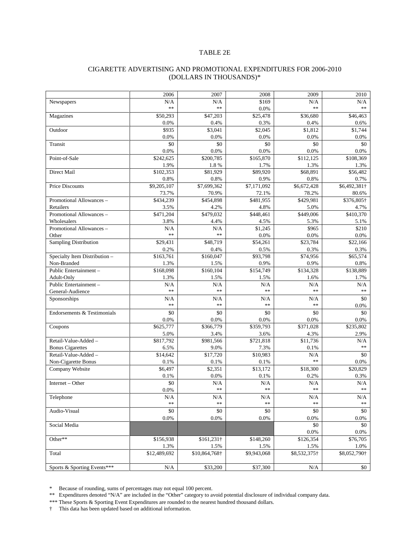#### TABLE 2E

#### CIGARETTE ADVERTISING AND PROMOTIONAL EXPENDITURES FOR 2006-2010 (DOLLARS IN THOUSANDS)\*

|                               | 2006          | 2007          | 2008            | 2009         | 2010            |
|-------------------------------|---------------|---------------|-----------------|--------------|-----------------|
| Newspapers                    | N/A           | N/A           | \$169           | N/A          | N/A             |
|                               | **            | $**$          | 0.0%            | **           | **              |
|                               | \$50,293      | \$47,203      | \$25,478        | \$36,680     | \$46,463        |
| Magazines                     |               |               |                 |              |                 |
|                               | 0.0%<br>\$935 | 0.4%          | 0.3%<br>\$2,045 | 0.4%         | 0.6%<br>\$1.744 |
| Outdoor                       |               | \$3,041       |                 | \$1,812      |                 |
|                               | 0.0%          | 0.0%          | 0.0%            | 0.0%         | 0.0%            |
| Transit                       | \$0           | \$0           | \$0             | \$0          | \$0             |
|                               | 0.0%          | 0.0%          | 0.0%            | 0.0%         | 0.0%            |
| Point-of-Sale                 | \$242,625     | \$200,785     | \$165,870       | \$112,125    | \$108,369       |
|                               | 1.9%          | 1.8%          | 1.7%            | 1.3%         | 1.3%            |
| Direct Mail                   | \$102,353     | \$81,929      | \$89,920        | \$68,891     | \$56,482        |
|                               | 0.8%          | 0.8%          | 0.9%            | 0.8%         | 0.7%            |
| <b>Price Discounts</b>        | \$9,205,107   | \$7,699,362   | \$7,171,092     | \$6,672,428  | \$6,492,381†    |
|                               | 73.7%         | 70.9%         | 72.1%           | 78.2%        | 80.6%           |
| Promotional Allowances -      | \$434,239     | \$454,898     | \$481,955       | \$429,981    | \$376,805†      |
| Retailers                     | 3.5%          | 4.2%          | 4.8%            | 5.0%         | 4.7%            |
| Promotional Allowances -      | \$471,204     | \$479,032     | \$448,461       | \$449,006    | \$410,370       |
| Wholesalers                   | 3.8%          | 4.4%          | 4.5%            | 5.3%         | 5.1%            |
| Promotional Allowances -      | N/A           | N/A           | \$1,245         | \$965        | \$210           |
| Other                         | **            | $**$          | 0.0%            | 0.0%         | 0.0%            |
| <b>Sampling Distribution</b>  | \$29,431      | \$48,719      | \$54,261        | \$23,784     | \$22,166        |
|                               | 0.2%          | 0.4%          | 0.5%            | 0.3%         | 0.3%            |
| Specialty Item Distribution - | \$163,761     | \$160,047     | \$93,798        | \$74,956     | \$65,574        |
| Non-Branded                   | 1.3%          | 1.5%          | 0.9%            | 0.9%         | 0.8%            |
| Public Entertainment -        | \$168,098     | \$160,104     | \$154,749       | \$134,328    | \$138,889       |
| Adult-Only                    | 1.3%          | 1.5%          | 1.5%            | 1.6%         | 1.7%            |
| Public Entertainment -        | N/A           | N/A           | N/A             | N/A          | N/A             |
| General-Audience              | **            | **            | **              | **           | **              |
| Sponsorships                  | N/A           | N/A           | N/A             | N/A          | \$0             |
|                               | **            | $**$          | **              | **           | 0.0%            |
| Endorsements & Testimonials   | \$0           | \$0           | \$0             | \$0          | \$0             |
|                               | 0.0%          | 0.0%          | 0.0%            | 0.0%         | 0.0%            |
| Coupons                       | \$625,777     | \$366,779     | \$359,793       | \$371,028    | \$235,802       |
|                               |               |               |                 |              | 2.9%            |
|                               | 5.0%          | 3.4%          | 3.6%            | 4.3%         |                 |
| Retail-Value-Added -          | \$817,792     | \$981,566     | \$721,818       | \$11,736     | N/A<br>**       |
| <b>Bonus Cigarettes</b>       | 6.5%          | 9.0%          | 7.3%            | 0.1%         |                 |
| Retail-Value-Added -          | \$14,642      | \$17,720      | \$10.983        | N/A<br>**    | \$0             |
| Non-Cigarette Bonus           | 0.1%          | 0.1%          | 0.1%            |              | 0.0%            |
| Company Website               | \$6,497       | \$2,351       | \$13,172        | \$18,300     | \$20,829        |
|                               | 0.1%          | 0.0%          | 0.1%            | 0.2%         | 0.3%            |
| Internet – Other              | \$0           | N/A           | N/A             | N/A          | N/A             |
|                               | 0.0%          | $**$          | **              | **           | **              |
| Telephone                     | N/A           | N/A           | N/A             | N/A          | N/A             |
|                               | **            | **            | **              | **           | **              |
| Audio-Visual                  | \$0           | \$0           | \$0             | \$0          | \$0             |
|                               | 0.0%          | 0.0%          | 0.0%            | 0.0%         | 0.0%            |
| Social Media                  |               |               |                 | \$0          | \$0             |
|                               |               |               |                 | 0.0%         | 0.0%            |
| Other**                       | \$156,938     | \$161,231†    | \$148,260       | \$126,354    | \$76,705        |
|                               | 1.3%          | 1.5%          | 1.5%            | 1.5%         | 1.0%            |
| Total                         | \$12,489,692  | \$10,864,768† | \$9,943,068     | \$8,532,375† | \$8,052,790†    |
|                               |               |               |                 |              |                 |
| Sports & Sporting Events***   | N/A           | \$33,200      | \$37,300        | N/A          | \$0             |
|                               |               |               |                 |              |                 |

\* Because of rounding, sums of percentages may not equal 100 percent.

\*\* Expenditures denoted "N/A" are included in the "Other" category to avoid potential disclosure of individual company data.

\*\*\* These Sports & Sporting Event Expenditures are rounded to the nearest hundred thousand dollars.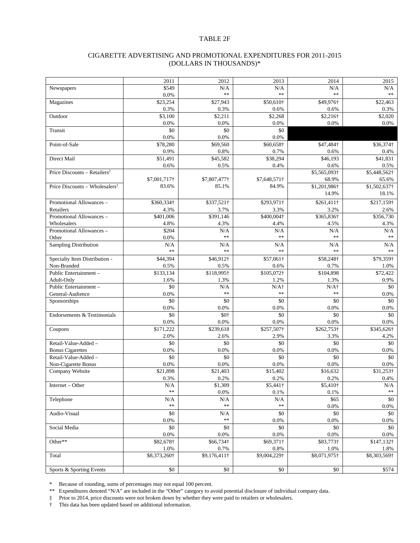#### TABLE 2F

#### CIGARETTE ADVERTISING AND PROMOTIONAL EXPENDITURES FOR 2011-2015 (DOLLARS IN THOUSANDS)\*

|                                                              | 2011         | 2012             | 2013         | 2014         | 2015          |
|--------------------------------------------------------------|--------------|------------------|--------------|--------------|---------------|
| Newspapers                                                   | \$549        | N/A              | N/A          | N/A          | N/A           |
|                                                              | 0.0%         | **               | **           | **           | $\ast$        |
| Magazines                                                    | \$23,254     | \$27,943         | \$50,610†    | \$49,976†    | \$22,463      |
|                                                              | 0.3%         | 0.3%             | 0.6%         | 0.6%         | 0.3%          |
| Outdoor                                                      | \$3.100      | \$2,211          | \$2,268      | \$2,216†     | \$2,020       |
|                                                              | 0.0%         | 0.0%             | 0.0%         | 0.0%         | 0.0%          |
| Transit                                                      | \$0          | \$0              | \$0          |              |               |
|                                                              | 0.0%         | 0.0%             | 0.0%         |              |               |
| Point-of-Sale                                                | \$78,280     | \$69,560         | \$60,658†    | \$47,484†    | \$36,374†     |
|                                                              | 0.9%         | 0.8%             | 0.7%         | 0.6%         | $0.4\%$       |
| Direct Mail                                                  | \$51,491     | \$45,582         | \$38,294     | \$46,193     | \$41,831      |
|                                                              | 0.6%         | 0.5%             | 0.4%         | 0.6%         | 0.5%          |
| Price Discounts – Retailers <sup><math>\ddagger</math></sup> |              |                  |              | \$5,565,093† | \$5,448,562†  |
|                                                              | \$7,001,717† | \$7,807,477†     | \$7,648,571† | 68.9%        | 65.6%         |
| Price Discounts - Wholesalers <sup>‡</sup>                   | 83.6%        | 85.1%            | 84.9%        |              |               |
|                                                              |              |                  |              | \$1,201,986† | \$1,502,637†  |
|                                                              |              |                  |              | 14.9%        | 18.1%         |
| Promotional Allowances -                                     | \$360,334†   | \$337,521†       | \$293,971†   | \$261,411†   | \$217,159†    |
| Retailers                                                    | 4.3%         | 3.7%             | 3.3%         | 3.2%         | 2.6%          |
| Promotional Allowances -                                     | \$401,006    | \$391,146        | \$400,004†   | \$365,836†   | \$356,730     |
| Wholesalers                                                  | 4.8%         | 4.3%             | 4.4%         | 4.5%         | 4.3%          |
| Promotional Allowances -                                     | \$204        | N/A              | N/A          | N/A          | N/A           |
| Other                                                        | 0.0%         | $\ast\ast$       | $**$         | **           | $\ast$ $\ast$ |
| <b>Sampling Distribution</b>                                 | N/A          | N/A              | N/A          | N/A          | N/A           |
|                                                              | **           | $\ast\ast$       | $**$         | **           | $\ast$ $\ast$ |
| Specialty Item Distribution -                                | \$44,394     | \$46,912†        | \$57,061†    | \$58,248†    | \$79,359†     |
| Non-Branded                                                  | 0.5%         | 0.5%             | 0.6%         | 0.7%         | 1.0%          |
| Public Entertainment-                                        | \$133,134    | \$118,995†       | \$105,072†   | \$104,898    | \$72,422      |
| Adult-Only                                                   | 1.6%         | 1.3%             | 1.2%         | 1.3%         | 0.9%          |
| Public Entertainment-                                        | \$0          | N/A              | $N/A\dagger$ | $N/A\dagger$ | \$0           |
| General-Audience                                             | 0.0%         | **               | **           | **           | 0.0%          |
| Sponsorships                                                 | \$0          | \$0              | \$0          | \$0          | \$0           |
|                                                              | 0.0%         | 0.0%             | 0.0%         | 0.0%         | 0.0%          |
| Endorsements & Testimonials                                  | \$0          | \$0 <sub>1</sub> | \$0          | \$0          |               |
|                                                              |              |                  |              |              | \$0           |
|                                                              | 0.0%         | 0.0%             | 0.0%         | 0.0%         | 0.0%          |
| Coupons                                                      | \$171,222    | \$239,618        | \$257,507†   | \$262,753†   | \$345,626†    |
|                                                              | 2.0%         | 2.6%             | 2.9%         | 3.3%         | 4.2%          |
| Retail-Value-Added -                                         | \$0          | \$0              | \$0          | \$0          | \$0           |
| <b>Bonus Cigarettes</b>                                      | 0.0%         | 0.0%             | 0.0%         | 0.0%         | 0.0%          |
| Retail-Value-Added -                                         | \$0          | \$0              | \$0          | \$0          | \$0           |
| Non-Cigarette Bonus                                          | 0.0%         | 0.0%             | 0.0%         | 0.0%         | 0.0%          |
| Company Website                                              | \$21,898     | \$21.403         | \$15,402     | \$16,632     | \$31,253†     |
|                                                              | 0.3%         | 0.2%             | 0.2%         | 0.2%         | 0.4%          |
| Internet - Other                                             | N/A          | \$1,309          | \$5,441†     | \$5,410†     | N/A           |
|                                                              | $\ast\ast$   | $0.0\%$          | $0.1\%$      | $0.1\%$      | $\ast\ast$    |
| Telephone                                                    | $\rm N/A$    | N/A              | N/A          | \$65         | \$0           |
|                                                              | $\ast\ast$   | $\ast\ast$       | **           | 0.0%         | $0.0\%$       |
| Audio-Visual                                                 | \$0          | N/A              | \$0          | \$0          | \$0           |
|                                                              | $0.0\%$      | $\ast\ast$       | 0.0%         | 0.0%         | 0.0%          |
| Social Media                                                 | \$0          | \$0              | \$0          | \$0          | \$0           |
|                                                              | $0.0\%$      | 0.0%             | $0.0\%$      | 0.0%         | 0.0%          |
| Other**                                                      | \$82,678†    | \$66,734†        | \$69,371†    | \$83,773†    | \$147,132†    |
|                                                              | 1.0%         | 0.7%             | 0.8%         | 1.0%         | 1.8%          |
| Total                                                        | \$8,373,260† | \$9,176,411†     | \$9,004,229† | \$8,071,975† | \$8,303,569†  |
|                                                              |              |                  |              |              |               |
| Sports & Sporting Events                                     | \$0          | \$0              | \$0          | \$0          | \$574         |
|                                                              |              |                  |              |              |               |

\* Because of rounding, sums of percentages may not equal 100 percent.

\*\* Expenditures denoted "N/A" are included in the "Other" category to avoid potential disclosure of individual company data.

‡ Prior to 2014, price discounts were not broken down by whether they were paid to retailers or wholesalers.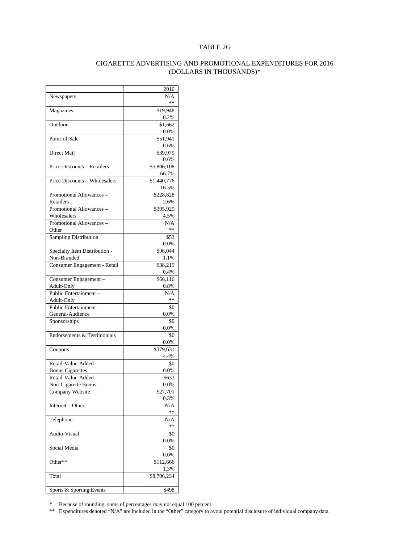#### TABLE 2G

#### CIGARETTE ADVERTISING AND PROMOTIONAL EXPENDITURES FOR 2016 (DOLLARS IN THOUSANDS)\*

|                               | 2016        |
|-------------------------------|-------------|
| Newspapers                    | N/A         |
|                               | **          |
| Magazines                     | \$19,948    |
|                               | 0.2%        |
| Outdoor                       | \$1.662     |
|                               |             |
|                               | $0.0\%$     |
| Point-of-Sale                 | \$51,941    |
|                               | 0.6%        |
| Direct Mail                   | \$39,979    |
|                               | 0.6%        |
| Price Discounts - Retailers   | \$5,806,108 |
|                               |             |
|                               | 66.7%       |
| Price Discounts - Wholesalers | \$1,440,776 |
|                               | 16.5%       |
| Promotional Allowances -      | \$228,828   |
| Retailers                     | 2.6%        |
| Promotional Allowances -      | \$395,929   |
| Wholesalers                   | 4.5%        |
|                               |             |
| Promotional Allowances -      | N/A         |
| Other                         | **          |
| Sampling Distribution         | \$53        |
|                               | 0.0%        |
| Specialty Item Distribution - | \$96,044    |
| Non-Branded                   | 1.1%        |
| Consumer Engagement - Retail  | \$38,219    |
|                               |             |
|                               | 0.4%        |
| Consumer Engagement-          | \$66,116    |
| Adult-Only                    | 0.8%        |
| Public Entertainment-         | N/A         |
| Adult-Only                    | **          |
| Public Entertainment -        | \$0         |
|                               |             |
| General-Audience              | 0.0%        |
| Sponsorships                  | \$0         |
|                               | $0.0\%$     |
| Endorsements & Testimonials   | \$0         |
|                               | $0.0\%$     |
| Coupons                       | \$379,631   |
|                               | 4.4%        |
| Retail-Value-Added -          | \$0         |
|                               |             |
| <b>Bonus Cigarettes</b>       | $0.0\%$     |
| Retail-Value-Added -          | \$633       |
| Non-Cigarette Bonus           | $0.0\%$     |
| Company Website               | \$27,701    |
|                               | 0.3%        |
| Internet - Other              | N/A         |
|                               | **          |
| Telephone                     | N/A         |
|                               | **          |
|                               |             |
| Audio-Visual                  | \$0         |
|                               | $0.0\%$     |
| Social Media                  | \$0         |
|                               | 0.0%        |
| Other**                       | \$112,666   |
|                               | 1.3%        |
|                               |             |
| Total                         | \$8,706,234 |
|                               |             |
| Sports & Sporting Events      | \$498       |
|                               |             |

\* Because of rounding, sums of percentages may not equal 100 percent.

\*\* Expenditures denoted "N/A" are included in the "Other" category to avoid potential disclosure of individual company data.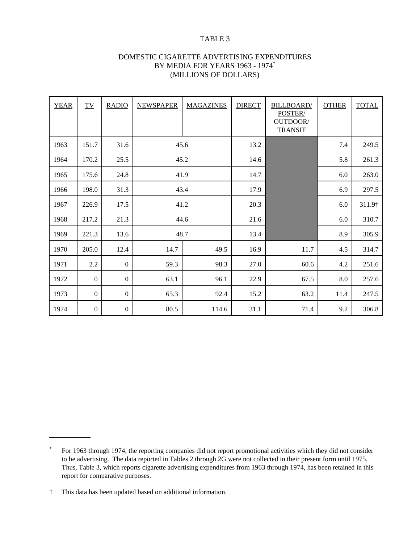## TABLE 3

| DOMESTIC CIGARETTE ADVERTISING EXPENDITURES |
|---------------------------------------------|
| BY MEDIA FOR YEARS 1963 - 1974*             |
| (MILLIONS OF DOLLARS)                       |

| <b>YEAR</b> | $\underline{\text{TV}}$ | <b>RADIO</b>     | <b>NEWSPAPER</b> | <b>MAGAZINES</b> | <b>DIRECT</b> | <b>BILLBOARD</b><br>POSTER/<br>OUTDOOR/<br><b>TRANSIT</b> | <b>OTHER</b> | <b>TOTAL</b> |
|-------------|-------------------------|------------------|------------------|------------------|---------------|-----------------------------------------------------------|--------------|--------------|
| 1963        | 151.7                   | 31.6             |                  | 45.6             |               |                                                           | 7.4          | 249.5        |
| 1964        | 170.2                   | 25.5             |                  | 45.2             | 14.6          |                                                           | 5.8          | 261.3        |
| 1965        | 175.6                   | 24.8             |                  | 41.9             | 14.7          |                                                           | 6.0          | 263.0        |
| 1966        | 198.0                   | 31.3             |                  | 43.4             | 17.9          |                                                           | 6.9          | 297.5        |
| 1967        | 226.9                   | 17.5             |                  | 41.2             | 20.3          |                                                           | 6.0          | 311.9†       |
| 1968        | 217.2                   | 21.3             |                  | 44.6             | 21.6          |                                                           | 6.0          | 310.7        |
| 1969        | 221.3                   | 13.6             |                  | 48.7             | 13.4          |                                                           | 8.9          | 305.9        |
| 1970        | 205.0                   | 12.4             | 14.7             | 49.5             | 16.9          | 11.7                                                      | 4.5          | 314.7        |
| 1971        | 2.2                     | $\boldsymbol{0}$ | 59.3             | 98.3             | 27.0          | 60.6                                                      | 4.2          | 251.6        |
| 1972        | $\boldsymbol{0}$        | $\mathbf{0}$     | 63.1             | 96.1             | 22.9          | 67.5                                                      | 8.0          | 257.6        |
| 1973        | $\boldsymbol{0}$        | $\boldsymbol{0}$ | 65.3             | 92.4             | 15.2          | 63.2                                                      | 11.4         | 247.5        |
| 1974        | $\boldsymbol{0}$        | $\boldsymbol{0}$ | 80.5             | 114.6            | 31.1          | 71.4                                                      | 9.2          | 306.8        |

l

<sup>\*</sup> For 1963 through 1974, the reporting companies did not report promotional activities which they did not consider to be advertising. The data reported in Tables 2 through 2G were not collected in their present form until 1975. Thus, Table 3, which reports cigarette advertising expenditures from 1963 through 1974, has been retained in this report for comparative purposes.

<sup>†</sup> This data has been updated based on additional information.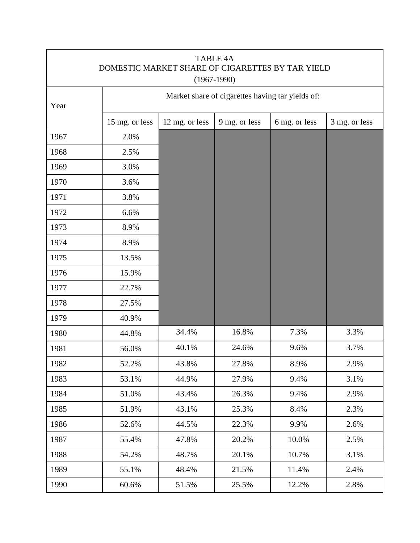| <b>TABLE 4A</b><br>DOMESTIC MARKET SHARE OF CIGARETTES BY TAR YIELD<br>$(1967-1990)$ |                                                  |                |               |               |               |  |  |  |  |
|--------------------------------------------------------------------------------------|--------------------------------------------------|----------------|---------------|---------------|---------------|--|--|--|--|
| Year                                                                                 | Market share of cigarettes having tar yields of: |                |               |               |               |  |  |  |  |
|                                                                                      | 15 mg. or less                                   | 12 mg. or less | 9 mg. or less | 6 mg. or less | 3 mg. or less |  |  |  |  |
| 1967                                                                                 | 2.0%                                             |                |               |               |               |  |  |  |  |
| 1968                                                                                 | 2.5%                                             |                |               |               |               |  |  |  |  |
| 1969                                                                                 | 3.0%                                             |                |               |               |               |  |  |  |  |
| 1970                                                                                 | 3.6%                                             |                |               |               |               |  |  |  |  |
| 1971                                                                                 | 3.8%                                             |                |               |               |               |  |  |  |  |
| 1972                                                                                 | 6.6%                                             |                |               |               |               |  |  |  |  |
| 1973                                                                                 | 8.9%                                             |                |               |               |               |  |  |  |  |
| 1974                                                                                 | 8.9%                                             |                |               |               |               |  |  |  |  |
| 1975                                                                                 | 13.5%                                            |                |               |               |               |  |  |  |  |
| 1976                                                                                 | 15.9%                                            |                |               |               |               |  |  |  |  |
| 1977                                                                                 | 22.7%                                            |                |               |               |               |  |  |  |  |
| 1978                                                                                 | 27.5%                                            |                |               |               |               |  |  |  |  |
| 1979                                                                                 | 40.9%                                            |                |               |               |               |  |  |  |  |
| 1980                                                                                 | 44.8%                                            | 34.4%          | 16.8%         | 7.3%          | 3.3%          |  |  |  |  |
| 1981                                                                                 | 56.0%                                            | 40.1%          | 24.6%         | 9.6%          | 3.7%          |  |  |  |  |
| 1982                                                                                 | 52.2%                                            | 43.8%          | 27.8%         | 8.9%          | 2.9%          |  |  |  |  |
| 1983                                                                                 | 53.1%                                            | 44.9%          | 27.9%         | 9.4%          | 3.1%          |  |  |  |  |
| 1984                                                                                 | 51.0%                                            | 43.4%          | 26.3%         | 9.4%          | 2.9%          |  |  |  |  |
| 1985                                                                                 | 51.9%                                            | 43.1%          | 25.3%         | 8.4%          | 2.3%          |  |  |  |  |
| 1986                                                                                 | 52.6%                                            | 44.5%          | 22.3%         | 9.9%          | 2.6%          |  |  |  |  |
| 1987                                                                                 | 55.4%                                            | 47.8%          | 20.2%         | 10.0%         | 2.5%          |  |  |  |  |
| 1988                                                                                 | 54.2%                                            | 48.7%          | 20.1%         | 10.7%         | 3.1%          |  |  |  |  |
| 1989                                                                                 | 55.1%                                            | 48.4%          | 21.5%         | 11.4%         | 2.4%          |  |  |  |  |
| 1990                                                                                 | 60.6%                                            | 51.5%          | 25.5%         | 12.2%         | 2.8%          |  |  |  |  |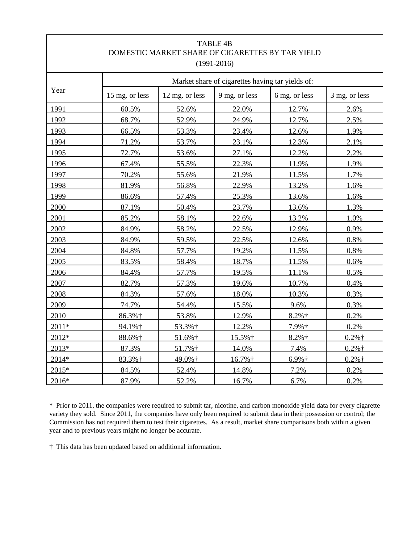|                                                                                                                                                                                                            |                | DOMESTIC MARKET SHARE OF CIGARETTES BY TAR YIELD | <b>TABLE 4B</b><br>$(1991 - 2016)$               |               |               |
|------------------------------------------------------------------------------------------------------------------------------------------------------------------------------------------------------------|----------------|--------------------------------------------------|--------------------------------------------------|---------------|---------------|
|                                                                                                                                                                                                            |                |                                                  | Market share of cigarettes having tar yields of: |               |               |
| Year<br>1991<br>1992<br>1993<br>1994<br>1995<br>1996<br>1997<br>1998<br>1999<br>2000<br>2001<br>2002<br>2003<br>2004<br>2005<br>2006<br>2007<br>2008<br>2009<br>2010<br>$2011*$<br>2012*<br>2013*<br>2014* | 15 mg. or less | 12 mg. or less                                   | 9 mg. or less                                    | 6 mg. or less | 3 mg. or less |
|                                                                                                                                                                                                            | 60.5%          | 52.6%                                            | 22.0%                                            | 12.7%         | 2.6%          |
|                                                                                                                                                                                                            | 68.7%          | 52.9%                                            | 24.9%                                            | 12.7%         | 2.5%          |
|                                                                                                                                                                                                            | 66.5%          | 53.3%                                            | 23.4%                                            | 12.6%         | 1.9%          |
|                                                                                                                                                                                                            | 71.2%          | 53.7%                                            | 23.1%                                            | 12.3%         | 2.1%          |
|                                                                                                                                                                                                            | 72.7%          | 53.6%                                            | 27.1%                                            | 12.2%         | 2.2%          |
|                                                                                                                                                                                                            | 67.4%          | 55.5%                                            | 22.3%                                            | 11.9%         | 1.9%          |
|                                                                                                                                                                                                            | 70.2%          | 55.6%                                            | 21.9%                                            | 11.5%         | 1.7%          |
|                                                                                                                                                                                                            | 81.9%          | 56.8%                                            | 22.9%                                            | 13.2%         | 1.6%          |
|                                                                                                                                                                                                            | 86.6%          | 57.4%                                            | 25.3%                                            | 13.6%         | 1.6%          |
|                                                                                                                                                                                                            | 87.1%          | 50.4%                                            | 23.7%                                            | 13.6%         | 1.3%          |
|                                                                                                                                                                                                            | 85.2%          | 58.1%                                            | 22.6%                                            | 13.2%         | 1.0%          |
|                                                                                                                                                                                                            | 84.9%          | 58.2%                                            | 22.5%                                            | 12.9%         | 0.9%          |
|                                                                                                                                                                                                            | 84.9%          | 59.5%                                            | 22.5%                                            | 12.6%         | 0.8%          |
|                                                                                                                                                                                                            | 84.8%          | 57.7%                                            | 19.2%                                            | 11.5%         | 0.8%          |
|                                                                                                                                                                                                            | 83.5%          | 58.4%                                            | 18.7%                                            | 11.5%         | 0.6%          |
|                                                                                                                                                                                                            | 84.4%          | 57.7%                                            | 19.5%                                            | 11.1%         | 0.5%          |
|                                                                                                                                                                                                            | 82.7%          | 57.3%                                            | 19.6%                                            | 10.7%         | 0.4%          |
|                                                                                                                                                                                                            | 84.3%          | 57.6%                                            | 18.0%                                            | 10.3%         | 0.3%          |
|                                                                                                                                                                                                            | 74.7%          | 54.4%                                            | 15.5%                                            | 9.6%          | 0.3%          |
|                                                                                                                                                                                                            | 86.3%†         | 53.8%                                            | 12.9%                                            | $8.2%$ †      | 0.2%          |
|                                                                                                                                                                                                            | 94.1%†         | 53.3%+                                           | 12.2%                                            | 7.9%+         | 0.2%          |
|                                                                                                                                                                                                            | 88.6%†         | 51.6%†                                           | 15.5%+                                           | $8.2%$ †      | $0.2%$ †      |
|                                                                                                                                                                                                            | 87.3%          | 51.7%†                                           | 14.0%                                            | 7.4%          | $0.2%$ †      |
|                                                                                                                                                                                                            | 83.3%†         | 49.0%+                                           | 16.7%†                                           | $6.9%$ †      | $0.2%$ †      |
| 2015*                                                                                                                                                                                                      | 84.5%          | 52.4%                                            | 14.8%                                            | 7.2%          | 0.2%          |
| 2016*                                                                                                                                                                                                      | 87.9%          | 52.2%                                            | 16.7%                                            | 6.7%          | 0.2%          |

\* Prior to 2011, the companies were required to submit tar, nicotine, and carbon monoxide yield data for every cigarette variety they sold. Since 2011, the companies have only been required to submit data in their possession or control; the Commission has not required them to test their cigarettes. As a result, market share comparisons both within a given year and to previous years might no longer be accurate.

† This data has been updated based on additional information.

 $\mathsf{l}$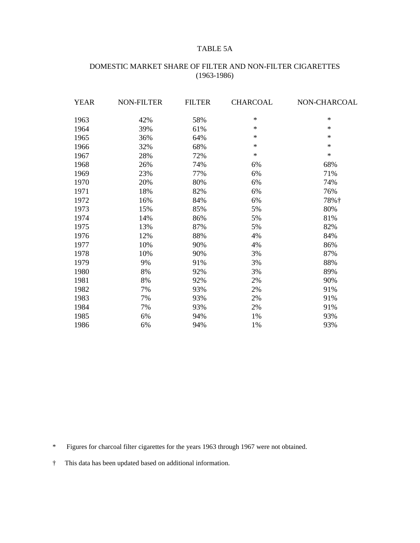## TABLE 5A

# DOMESTIC MARKET SHARE OF FILTER AND NON-FILTER CIGARETTES (1963-1986)

| YEAR | <b>NON-FILTER</b> | <b>FILTER</b> | <b>CHARCOAL</b> | NON-CHARCOAL |
|------|-------------------|---------------|-----------------|--------------|
| 1963 | 42%               | 58%           | $\ast$          | $\ast$       |
| 1964 | 39%               | 61%           | $\ast$          | $\ast$       |
| 1965 | 36%               | 64%           | $\ast$          | $\ast$       |
| 1966 | 32%               | 68%           | $\ast$          | $\ast$       |
| 1967 | 28%               | 72%           | $\ast$          | $\ast$       |
| 1968 | 26%               | 74%           | 6%              | 68%          |
| 1969 | 23%               | 77%           | 6%              | 71%          |
| 1970 | 20%               | 80%           | 6%              | 74%          |
| 1971 | 18%               | 82%           | 6%              | 76%          |
| 1972 | 16%               | 84%           | 6%              | 78%†         |
| 1973 | 15%               | 85%           | 5%              | 80%          |
| 1974 | 14%               | 86%           | 5%              | 81%          |
| 1975 | 13%               | 87%           | 5%              | 82%          |
| 1976 | 12%               | 88%           | 4%              | 84%          |
| 1977 | 10%               | 90%           | 4%              | 86%          |
| 1978 | 10%               | 90%           | 3%              | 87%          |
| 1979 | 9%                | 91%           | 3%              | 88%          |
| 1980 | 8%                | 92%           | 3%              | 89%          |
| 1981 | 8%                | 92%           | 2%              | 90%          |
| 1982 | 7%                | 93%           | 2%              | 91%          |
| 1983 | 7%                | 93%           | 2%              | 91%          |
| 1984 | 7%                | 93%           | 2%              | 91%          |
| 1985 | 6%                | 94%           | 1%              | 93%          |
| 1986 | 6%                | 94%           | 1%              | 93%          |

\* Figures for charcoal filter cigarettes for the years 1963 through 1967 were not obtained.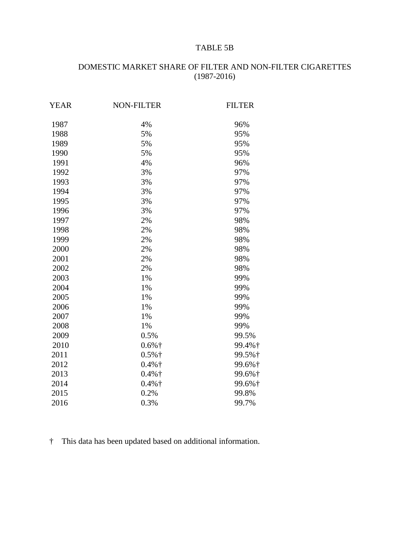# TABLE 5B

# DOMESTIC MARKET SHARE OF FILTER AND NON-FILTER CIGARETTES (1987-2016)

| <b>YEAR</b> | <b>NON-FILTER</b> | <b>FILTER</b> |
|-------------|-------------------|---------------|
| 1987        | 4%                | 96%           |
| 1988        | 5%                | 95%           |
| 1989        | 5%                | 95%           |
| 1990        | 5%                | 95%           |
| 1991        | 4%                | 96%           |
| 1992        | 3%                | 97%           |
| 1993        | 3%                | 97%           |
| 1994        | 3%                | 97%           |
| 1995        | 3%                | 97%           |
| 1996        | 3%                | 97%           |
| 1997        | 2%                | 98%           |
| 1998        | 2%                | 98%           |
| 1999        | 2%                | 98%           |
| 2000        | 2%                | 98%           |
| 2001        | 2%                | 98%           |
| 2002        | 2%                | 98%           |
| 2003        | 1%                | 99%           |
| 2004        | 1%                | 99%           |
| 2005        | 1%                | 99%           |
| 2006        | 1%                | 99%           |
| 2007        | 1%                | 99%           |
| 2008        | 1%                | 99%           |
| 2009        | 0.5%              | 99.5%         |
| 2010        | $0.6%$ †          | 99.4%†        |
| 2011        | $0.5%$ †          | 99.5%†        |
| 2012        | $0.4%$ †          | 99.6%†        |
| 2013        | $0.4%$ †          | 99.6%†        |
| 2014        | $0.4%$ †          | 99.6%†        |
| 2015        | 0.2%              | 99.8%         |
| 2016        | 0.3%              | 99.7%         |
|             |                   |               |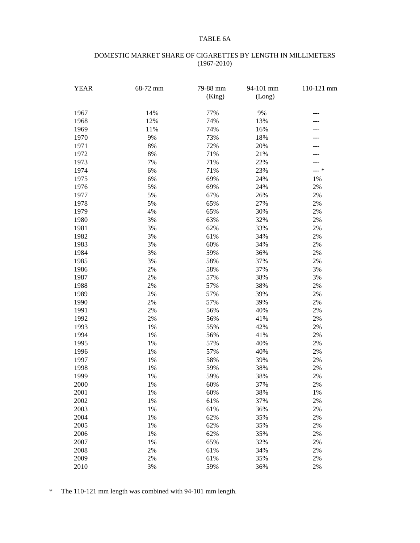### TABLE 6A

#### DOMESTIC MARKET SHARE OF CIGARETTES BY LENGTH IN MILLIMETERS (1967-2010)

| <b>YEAR</b> | 68-72 mm | 79-88 mm<br>(King) | 94-101 mm<br>(Long) | 110-121 mm |
|-------------|----------|--------------------|---------------------|------------|
| 1967        | 14%      | 77%                | 9%                  | ---        |
| 1968        | 12%      | 74%                | 13%                 |            |
| 1969        | 11%      | 74%                | 16%                 |            |
| 1970        | 9%       | 73%                | 18%                 |            |
| 1971        | $8\%$    | 72%                | 20%                 |            |
| 1972        | $8\%$    | 71%                | 21%                 |            |
| 1973        | 7%       | 71%                | 22%                 |            |
| 1974        | 6%       | 71%                | 23%                 | --- *      |
| 1975        | 6%       | 69%                | 24%                 | $1\%$      |
| 1976        | 5%       | 69%                | 24%                 | $2\%$      |
| 1977        | 5%       | 67%                | 26%                 | $2\%$      |
| 1978        | 5%       | 65%                | 27%                 | $2\%$      |
| 1979        | 4%       | 65%                | 30%                 | $2\%$      |
| 1980        | 3%       | 63%                | 32%                 | $2\%$      |
| 1981        | 3%       | 62%                | 33%                 | $2\%$      |
| 1982        | 3%       | 61%                | 34%                 | $2\%$      |
| 1983        | 3%       | 60%                | 34%                 | $2\%$      |
| 1984        | 3%       | 59%                | 36%                 | $2\%$      |
| 1985        | 3%       | 58%                | 37%                 | $2\%$      |
| 1986        | $2\%$    | 58%                | 37%                 | 3%         |
| 1987        | $2\%$    | 57%                | 38%                 | 3%         |
| 1988        | $2\%$    | 57%                | 38%                 | $2\%$      |
| 1989        | $2\%$    | 57%                | 39%                 | $2\%$      |
| 1990        | $2\%$    | 57%                | 39%                 | $2\%$      |
| 1991        | $2\%$    | 56%                | 40%                 | $2\%$      |
| 1992        | $2\%$    | 56%                | 41%                 | $2\%$      |
| 1993        | $1\%$    | 55%                | 42%                 | $2\%$      |
| 1994        | $1\%$    | 56%                | 41%                 | $2\%$      |
| 1995        | $1\%$    | 57%                | 40%                 | $2\%$      |
| 1996        | $1\%$    | 57%                | 40%                 | $2\%$      |
| 1997        | $1\%$    | 58%                | 39%                 | $2\%$      |
| 1998        | 1%       | 59%                | 38%                 | $2\%$      |
| 1999        | $1\%$    | 59%                | 38%                 | $2\%$      |
| 2000        | $1\%$    | 60%                | 37%                 | $2\%$      |
| 2001        | 1%       | 60%                | 38%                 | 1%         |
| 2002        | 1%       | 61%                | 37%                 | $2\%$      |
| 2003        | 1%       | 61%                | 36%                 | $2\%$      |
| 2004        | 1%       | 62%                | 35%                 | $2\%$      |
| 2005        | 1%       | 62%                | 35%                 | $2\%$      |
| 2006        | 1%       | 62%                | 35%                 | $2\%$      |
| 2007        | 1%       | 65%                | 32%                 | $2\%$      |
| 2008        | $2\%$    | 61%                | 34%                 | $2\%$      |
| 2009        | $2\%$    | 61%                | 35%                 | $2\%$      |
| 2010        | 3%       | 59%                | 36%                 | 2%         |

\* The 110-121 mm length was combined with 94-101 mm length.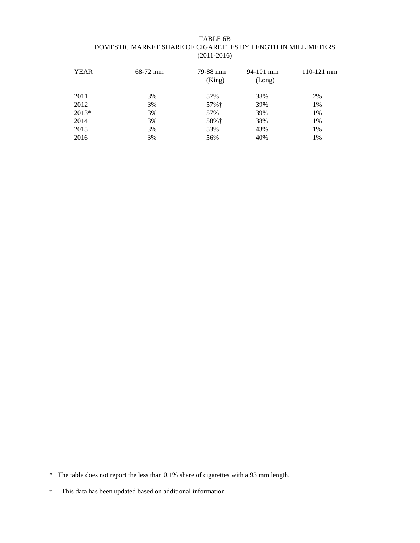#### TABLE 6B DOMESTIC MARKET SHARE OF CIGARETTES BY LENGTH IN MILLIMETERS (2011-2016)

| <b>YEAR</b> | 68-72 mm | 79-88 mm<br>(King) | $94-101$ mm<br>(Long) | $110-121$ mm |
|-------------|----------|--------------------|-----------------------|--------------|
| 2011        | 3%       | 57%                | 38%                   | 2%           |
| 2012        | 3%       | 57%†               | 39%                   | 1%           |
| $2013*$     | 3%       | 57%                | 39%                   | 1%           |
| 2014        | 3%       | 58%†               | 38%                   | 1%           |
| 2015        | 3%       | 53%                | 43%                   | 1%           |
| 2016        | 3%       | 56%                | 40%                   | 1%           |
|             |          |                    |                       |              |

\* The table does not report the less than 0.1% share of cigarettes with a 93 mm length.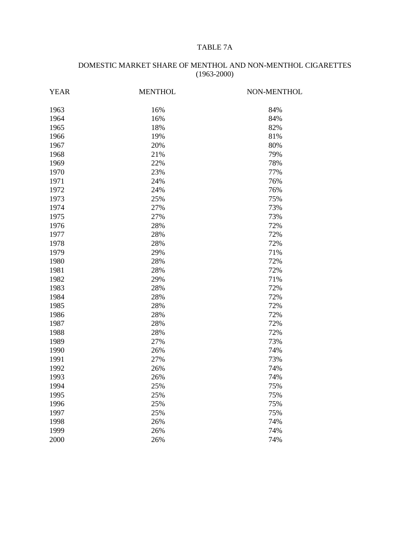# TABLE 7A

| <b>YEAR</b> | <b>MENTHOL</b> | NON-MENTHOL |
|-------------|----------------|-------------|
| 1963        | 16%            | 84%         |
| 1964        | 16%            | 84%         |
| 1965        | 18%            | 82%         |
| 1966        | 19%            | 81%         |
| 1967        | 20%            | 80%         |
| 1968        | 21%            | 79%         |
| 1969        | 22%            | 78%         |
| 1970        | 23%            | 77%         |
| 1971        | 24%            | 76%         |
| 1972        | 24%            | 76%         |
| 1973        | 25%            | 75%         |
| 1974        | 27%            | 73%         |
| 1975        | 27%            | 73%         |
| 1976        | 28%            | 72%         |
| 1977        | 28%            | 72%         |
| 1978        | 28%            | 72%         |
| 1979        | 29%            | 71%         |
| 1980        | 28%            | 72%         |
| 1981        | 28%            | 72%         |
| 1982        | 29%            | 71%         |
| 1983        | 28%            | 72%         |
| 1984        | 28%            | 72%         |
| 1985        | 28%            | 72%         |
| 1986        | 28%            | 72%         |
| 1987        | 28%            | 72%         |
| 1988        | 28%            | 72%         |
| 1989        | 27%            | 73%         |
| 1990        | 26%            | 74%         |
| 1991        | 27%            | 73%         |
| 1992        | 26%            | 74%         |
| 1993        | 26%            | 74%         |
| 1994        | 25%            | 75%         |
| 1995        | 25%            | 75%         |
| 1996        | 25%            | 75%         |
| 1997        | 25%            | 75%         |
| 1998        | 26%            | 74%         |
| 1999        | 26%            | 74%         |
| 2000        | 26%            | 74%         |

# DOMESTIC MARKET SHARE OF MENTHOL AND NON-MENTHOL CIGARETTES (1963-2000)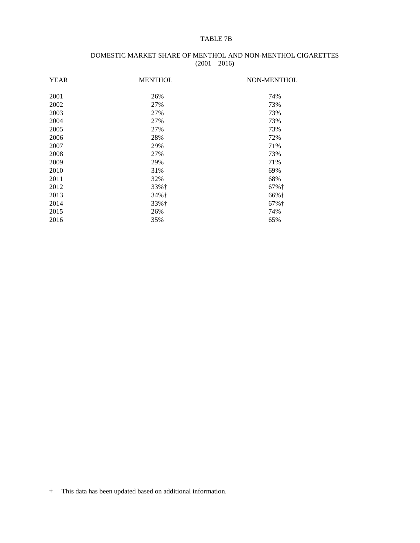#### TABLE 7B

#### DOMESTIC MARKET SHARE OF MENTHOL AND NON-MENTHOL CIGARETTES  $(2001 - 2016)$

| <b>YEAR</b> | <b>MENTHOL</b> | NON-MENTHOL        |
|-------------|----------------|--------------------|
| 2001        | 26%            | 74%                |
| 2002        | 27%            | 73%                |
| 2003        | 27%            | 73%                |
| 2004        | 27%            | 73%                |
| 2005        | 27%            | 73%                |
| 2006        | 28%            | 72%                |
| 2007        | 29%            | 71%                |
| 2008        | 27%            | 73%                |
| 2009        | 29%            | 71%                |
| 2010        | 31%            | 69%                |
| 2011        | 32%            | 68%                |
| 2012        | 33%†           | $67%$ <sup>+</sup> |
| 2013        | 34%†           | 66%†               |
| 2014        | 33%†           | $67%$ <sup>+</sup> |
| 2015        | 26%            | 74%                |
| 2016        | 35%            | 65%                |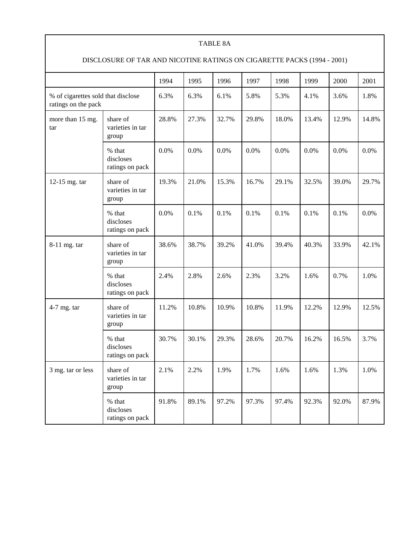#### TABLE 8A

# DISCLOSURE OF TAR AND NICOTINE RATINGS ON CIGARETTE PACKS (1994 - 2001)

|                                                           |                                        | 1994  | 1995  | 1996  | 1997  | 1998  | 1999  | 2000  | 2001  |
|-----------------------------------------------------------|----------------------------------------|-------|-------|-------|-------|-------|-------|-------|-------|
| % of cigarettes sold that disclose<br>ratings on the pack |                                        | 6.3%  | 6.3%  | 6.1%  | 5.8%  | 5.3%  | 4.1%  | 3.6%  | 1.8%  |
| more than 15 mg.<br>tar                                   | share of<br>varieties in tar<br>group  | 28.8% | 27.3% | 32.7% | 29.8% | 18.0% | 13.4% | 12.9% | 14.8% |
|                                                           | % that<br>discloses<br>ratings on pack | 0.0%  | 0.0%  | 0.0%  | 0.0%  | 0.0%  | 0.0%  | 0.0%  | 0.0%  |
| 12-15 mg. tar                                             | share of<br>varieties in tar<br>group  | 19.3% | 21.0% | 15.3% | 16.7% | 29.1% | 32.5% | 39.0% | 29.7% |
|                                                           | % that<br>discloses<br>ratings on pack | 0.0%  | 0.1%  | 0.1%  | 0.1%  | 0.1%  | 0.1%  | 0.1%  | 0.0%  |
| 8-11 mg. tar                                              | share of<br>varieties in tar<br>group  | 38.6% | 38.7% | 39.2% | 41.0% | 39.4% | 40.3% | 33.9% | 42.1% |
|                                                           | % that<br>discloses<br>ratings on pack | 2.4%  | 2.8%  | 2.6%  | 2.3%  | 3.2%  | 1.6%  | 0.7%  | 1.0%  |
| $4-7$ mg. tar                                             | share of<br>varieties in tar<br>group  | 11.2% | 10.8% | 10.9% | 10.8% | 11.9% | 12.2% | 12.9% | 12.5% |
|                                                           | % that<br>discloses<br>ratings on pack | 30.7% | 30.1% | 29.3% | 28.6% | 20.7% | 16.2% | 16.5% | 3.7%  |
| 3 mg. tar or less                                         | share of<br>varieties in tar<br>group  | 2.1%  | 2.2%  | 1.9%  | 1.7%  | 1.6%  | 1.6%  | 1.3%  | 1.0%  |
|                                                           | % that<br>discloses<br>ratings on pack | 91.8% | 89.1% | 97.2% | 97.3% | 97.4% | 92.3% | 92.0% | 87.9% |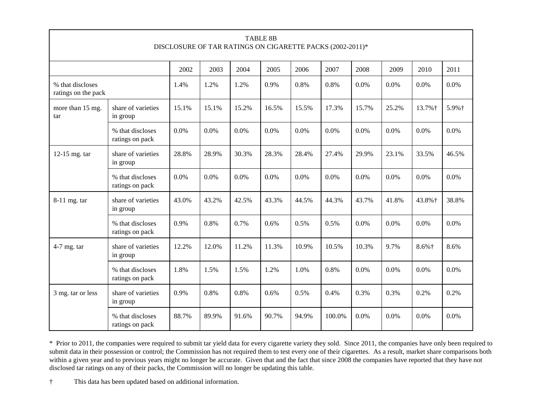| <b>TABLE 8B</b><br>DISCLOSURE OF TAR RATINGS ON CIGARETTE PACKS (2002-2011)* |                                     |       |       |         |       |       |        |       |       |          |       |
|------------------------------------------------------------------------------|-------------------------------------|-------|-------|---------|-------|-------|--------|-------|-------|----------|-------|
|                                                                              |                                     | 2002  | 2003  | 2004    | 2005  | 2006  | 2007   | 2008  | 2009  | 2010     | 2011  |
| % that discloses<br>ratings on the pack                                      |                                     | 1.4%  | 1.2%  | 1.2%    | 0.9%  | 0.8%  | 0.8%   | 0.0%  | 0.0%  | 0.0%     | 0.0%  |
| more than 15 mg.<br>tar                                                      | share of varieties<br>in group      | 15.1% | 15.1% | 15.2%   | 16.5% | 15.5% | 17.3%  | 15.7% | 25.2% | 13.7%+   | 5.9%† |
|                                                                              | % that discloses<br>ratings on pack | 0.0%  | 0.0%  | $0.0\%$ | 0.0%  | 0.0%  | 0.0%   | 0.0%  | 0.0%  | $0.0\%$  | 0.0%  |
| 12-15 mg. tar                                                                | share of varieties<br>in group      | 28.8% | 28.9% | 30.3%   | 28.3% | 28.4% | 27.4%  | 29.9% | 23.1% | 33.5%    | 46.5% |
|                                                                              | % that discloses<br>ratings on pack | 0.0%  | 0.0%  | 0.0%    | 0.0%  | 0.0%  | 0.0%   | 0.0%  | 0.0%  | 0.0%     | 0.0%  |
| 8-11 mg. tar                                                                 | share of varieties<br>in group      | 43.0% | 43.2% | 42.5%   | 43.3% | 44.5% | 44.3%  | 43.7% | 41.8% | 43.8%+   | 38.8% |
|                                                                              | % that discloses<br>ratings on pack | 0.9%  | 0.8%  | 0.7%    | 0.6%  | 0.5%  | 0.5%   | 0.0%  | 0.0%  | 0.0%     | 0.0%  |
| 4-7 mg. tar                                                                  | share of varieties<br>in group      | 12.2% | 12.0% | 11.2%   | 11.3% | 10.9% | 10.5%  | 10.3% | 9.7%  | $8.6%$ † | 8.6%  |
|                                                                              | % that discloses<br>ratings on pack | 1.8%  | 1.5%  | 1.5%    | 1.2%  | 1.0%  | 0.8%   | 0.0%  | 0.0%  | 0.0%     | 0.0%  |
| 3 mg. tar or less                                                            | share of varieties<br>in group      | 0.9%  | 0.8%  | 0.8%    | 0.6%  | 0.5%  | 0.4%   | 0.3%  | 0.3%  | 0.2%     | 0.2%  |
|                                                                              | % that discloses<br>ratings on pack | 88.7% | 89.9% | 91.6%   | 90.7% | 94.9% | 100.0% | 0.0%  | 0.0%  | $0.0\%$  | 0.0%  |

\* Prior to 2011, the companies were required to submit tar yield data for every cigarette variety they sold. Since 2011, the companies have only been required to submit data in their possession or control; the Commission has not required them to test every one of their cigarettes. As a result, market share comparisons both within a given year and to previous years might no longer be accurate. Given that and the fact that since 2008 the companies have reported that they have not disclosed tar ratings on any of their packs, the Commission will no longer be updating this table.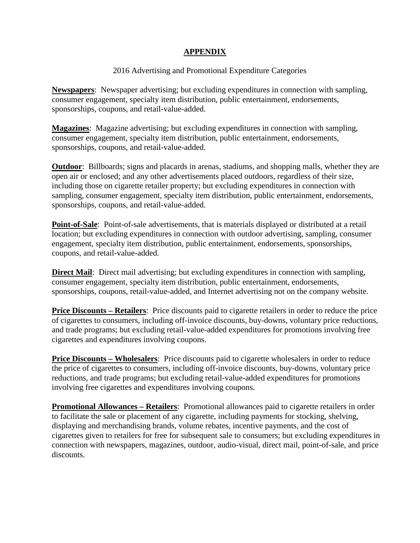# **APPENDIX**

# 2016 Advertising and Promotional Expenditure Categories

**Newspapers**: Newspaper advertising; but excluding expenditures in connection with sampling, consumer engagement, specialty item distribution, public entertainment, endorsements, sponsorships, coupons, and retail-value-added.

**Magazines**: Magazine advertising; but excluding expenditures in connection with sampling, consumer engagement, specialty item distribution, public entertainment, endorsements, sponsorships, coupons, and retail-value-added.

**Outdoor:** Billboards; signs and placards in arenas, stadiums, and shopping malls, whether they are open air or enclosed; and any other advertisements placed outdoors, regardless of their size, including those on cigarette retailer property; but excluding expenditures in connection with sampling, consumer engagement, specialty item distribution, public entertainment, endorsements, sponsorships, coupons, and retail-value-added.

**Point-of-Sale**: Point-of-sale advertisements, that is materials displayed or distributed at a retail location; but excluding expenditures in connection with outdoor advertising, sampling, consumer engagement, specialty item distribution, public entertainment, endorsements, sponsorships, coupons, and retail-value-added.

**Direct Mail**: Direct mail advertising; but excluding expenditures in connection with sampling, consumer engagement, specialty item distribution, public entertainment, endorsements, sponsorships, coupons, retail-value-added, and Internet advertising not on the company website.

**Price Discounts – Retailers**: Price discounts paid to cigarette retailers in order to reduce the price of cigarettes to consumers, including off-invoice discounts, buy-downs, voluntary price reductions, and trade programs; but excluding retail-value-added expenditures for promotions involving free cigarettes and expenditures involving coupons.

**Price Discounts – Wholesalers:** Price discounts paid to cigarette wholesalers in order to reduce the price of cigarettes to consumers, including off-invoice discounts, buy-downs, voluntary price reductions, and trade programs; but excluding retail-value-added expenditures for promotions involving free cigarettes and expenditures involving coupons.

**Promotional Allowances – Retailers**: Promotional allowances paid to cigarette retailers in order to facilitate the sale or placement of any cigarette, including payments for stocking, shelving, displaying and merchandising brands, volume rebates, incentive payments, and the cost of cigarettes given to retailers for free for subsequent sale to consumers; but excluding expenditures in connection with newspapers, magazines, outdoor, audio-visual, direct mail, point-of-sale, and price discounts.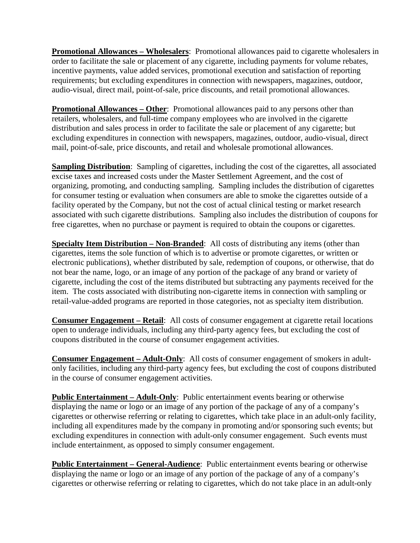**Promotional Allowances – Wholesalers**: Promotional allowances paid to cigarette wholesalers in order to facilitate the sale or placement of any cigarette, including payments for volume rebates, incentive payments, value added services, promotional execution and satisfaction of reporting requirements; but excluding expenditures in connection with newspapers, magazines, outdoor, audio-visual, direct mail, point-of-sale, price discounts, and retail promotional allowances.

**Promotional Allowances – Other:** Promotional allowances paid to any persons other than retailers, wholesalers, and full-time company employees who are involved in the cigarette distribution and sales process in order to facilitate the sale or placement of any cigarette; but excluding expenditures in connection with newspapers, magazines, outdoor, audio-visual, direct mail, point-of-sale, price discounts, and retail and wholesale promotional allowances.

**Sampling Distribution**: Sampling of cigarettes, including the cost of the cigarettes, all associated excise taxes and increased costs under the Master Settlement Agreement, and the cost of organizing, promoting, and conducting sampling. Sampling includes the distribution of cigarettes for consumer testing or evaluation when consumers are able to smoke the cigarettes outside of a facility operated by the Company, but not the cost of actual clinical testing or market research associated with such cigarette distributions. Sampling also includes the distribution of coupons for free cigarettes, when no purchase or payment is required to obtain the coupons or cigarettes.

**Specialty Item Distribution – Non-Branded**: All costs of distributing any items (other than cigarettes, items the sole function of which is to advertise or promote cigarettes, or written or electronic publications), whether distributed by sale, redemption of coupons, or otherwise, that do not bear the name, logo, or an image of any portion of the package of any brand or variety of cigarette, including the cost of the items distributed but subtracting any payments received for the item. The costs associated with distributing non-cigarette items in connection with sampling or retail-value-added programs are reported in those categories, not as specialty item distribution.

**Consumer Engagement – Retail**: All costs of consumer engagement at cigarette retail locations open to underage individuals, including any third-party agency fees, but excluding the cost of coupons distributed in the course of consumer engagement activities.

**Consumer Engagement – Adult-Only**: All costs of consumer engagement of smokers in adultonly facilities, including any third-party agency fees, but excluding the cost of coupons distributed in the course of consumer engagement activities.

**Public Entertainment – Adult-Only**: Public entertainment events bearing or otherwise displaying the name or logo or an image of any portion of the package of any of a company's cigarettes or otherwise referring or relating to cigarettes, which take place in an adult-only facility, including all expenditures made by the company in promoting and/or sponsoring such events; but excluding expenditures in connection with adult-only consumer engagement. Such events must include entertainment, as opposed to simply consumer engagement.

**Public Entertainment – General-Audience**: Public entertainment events bearing or otherwise displaying the name or logo or an image of any portion of the package of any of a company's cigarettes or otherwise referring or relating to cigarettes, which do not take place in an adult-only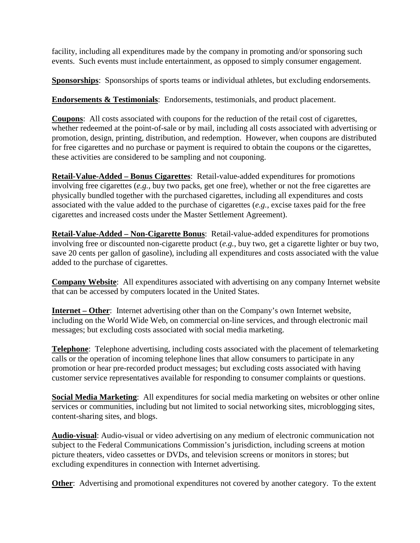facility, including all expenditures made by the company in promoting and/or sponsoring such events. Such events must include entertainment, as opposed to simply consumer engagement.

**Sponsorships**: Sponsorships of sports teams or individual athletes, but excluding endorsements.

**Endorsements & Testimonials**: Endorsements, testimonials, and product placement.

**Coupons**: All costs associated with coupons for the reduction of the retail cost of cigarettes, whether redeemed at the point-of-sale or by mail, including all costs associated with advertising or promotion, design, printing, distribution, and redemption. However, when coupons are distributed for free cigarettes and no purchase or payment is required to obtain the coupons or the cigarettes, these activities are considered to be sampling and not couponing.

**Retail-Value-Added – Bonus Cigarettes**: Retail-value-added expenditures for promotions involving free cigarettes (*e.g.,* buy two packs, get one free), whether or not the free cigarettes are physically bundled together with the purchased cigarettes, including all expenditures and costs associated with the value added to the purchase of cigarettes (*e.g.*, excise taxes paid for the free cigarettes and increased costs under the Master Settlement Agreement).

**Retail-Value-Added – Non-Cigarette Bonus**: Retail-value-added expenditures for promotions involving free or discounted non-cigarette product (*e.g.*, buy two, get a cigarette lighter or buy two, save 20 cents per gallon of gasoline), including all expenditures and costs associated with the value added to the purchase of cigarettes.

**Company Website**: All expenditures associated with advertising on any company Internet website that can be accessed by computers located in the United States.

**Internet – Other**: Internet advertising other than on the Company's own Internet website, including on the World Wide Web, on commercial on-line services, and through electronic mail messages; but excluding costs associated with social media marketing.

**Telephone**: Telephone advertising, including costs associated with the placement of telemarketing calls or the operation of incoming telephone lines that allow consumers to participate in any promotion or hear pre-recorded product messages; but excluding costs associated with having customer service representatives available for responding to consumer complaints or questions.

**Social Media Marketing**: All expenditures for social media marketing on websites or other online services or communities, including but not limited to social networking sites, microblogging sites, content-sharing sites, and blogs.

**Audio-visual**: Audio-visual or video advertising on any medium of electronic communication not subject to the Federal Communications Commission's jurisdiction, including screens at motion picture theaters, video cassettes or DVDs, and television screens or monitors in stores; but excluding expenditures in connection with Internet advertising.

**Other:** Advertising and promotional expenditures not covered by another category. To the extent